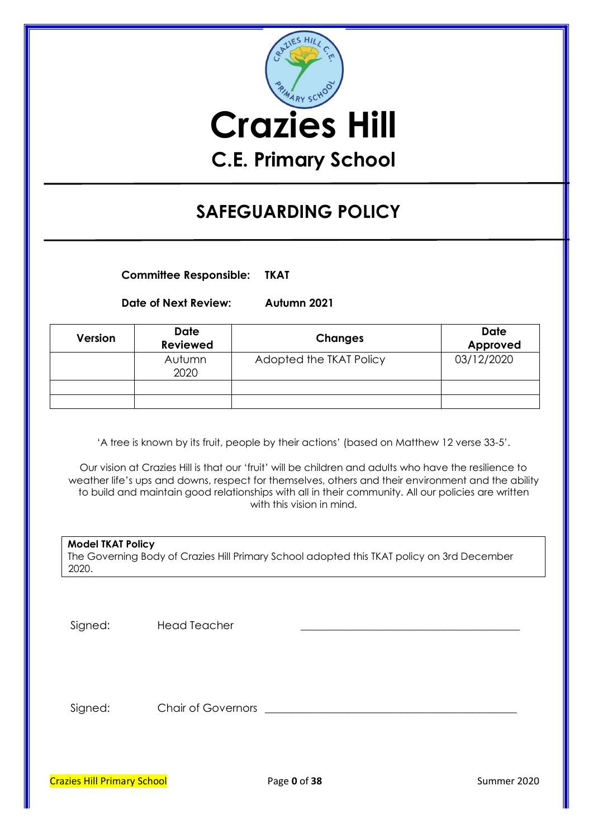

# **SAFEGUARDING POLICY**

**Committee Responsible: TKAT**

**Date of Next Review: Autumn 2021**

| Version | <b>Date</b><br><b>Reviewed</b> | <b>Changes</b>          | <b>Date</b><br>Approved |
|---------|--------------------------------|-------------------------|-------------------------|
|         | Autumn<br>2020                 | Adopted the TKAT Policy | 03/12/2020              |
|         |                                |                         |                         |
|         |                                |                         |                         |

'A tree is known by its fruit, people by their actions' (based on Matthew 12 verse 33-5'.

Our vision at Crazies Hill is that our 'fruit' will be children and adults who have the resilience to weather life's ups and downs, respect for themselves, others and their environment and the ability to build and maintain good relationships with all in their community. All our policies are written with this vision in mind.

| Model TKAT Policy                                                                          |
|--------------------------------------------------------------------------------------------|
| The Governing Body of Crazies Hill Primary School adopted this TKAT policy on 3rd December |
| 2020.                                                                                      |

Signed: Head Teacher

Signed: Chair of Governors \_\_\_\_\_\_\_\_\_\_\_\_\_\_\_\_\_\_\_\_\_\_\_\_\_\_\_\_\_\_\_\_\_\_\_\_\_\_\_\_\_\_\_\_\_\_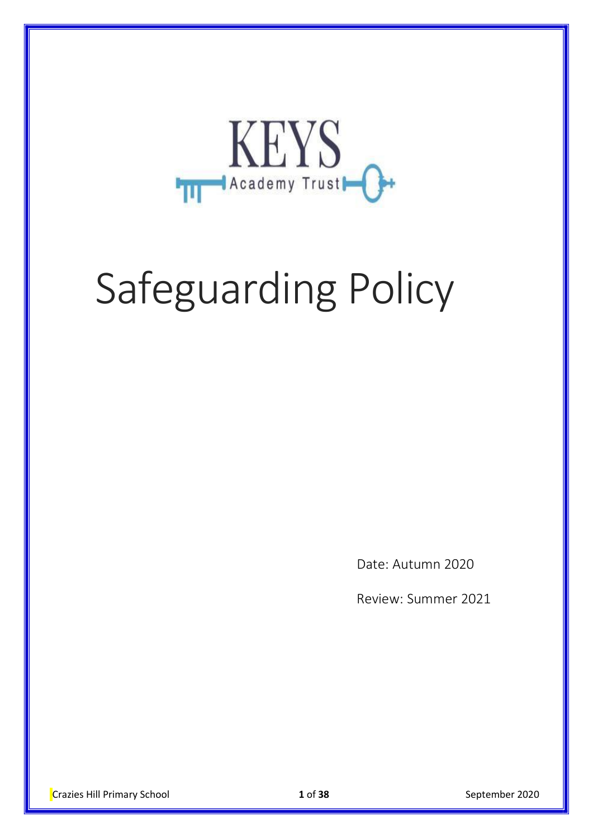

# Safeguarding Policy

Date: Autumn 2020

Review: Summer 2021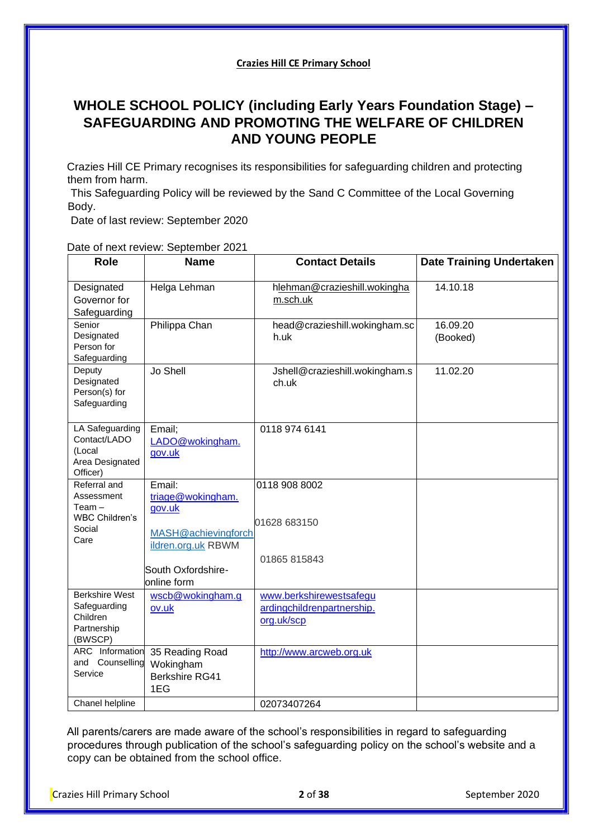#### **Crazies Hill CE Primary School**

# **WHOLE SCHOOL POLICY (including Early Years Foundation Stage) – SAFEGUARDING AND PROMOTING THE WELFARE OF CHILDREN AND YOUNG PEOPLE**

Crazies Hill CE Primary recognises its responsibilities for safeguarding children and protecting them from harm.

This Safeguarding Policy will be reviewed by the Sand C Committee of the Local Governing Body.

Date of last review: September 2020

Date of next review: September 2021

| <b>Role</b>                                                                 | <b>Name</b>                                                  | <b>Contact Details</b>                                              | <b>Date Training Undertaken</b> |
|-----------------------------------------------------------------------------|--------------------------------------------------------------|---------------------------------------------------------------------|---------------------------------|
| Designated<br>Governor for<br>Safeguarding                                  | Helga Lehman                                                 | hlehman@crazieshill.wokingha<br>m.sch.uk                            | 14.10.18                        |
| Senior<br>Designated<br>Person for<br>Safeguarding                          | Philippa Chan                                                | head@crazieshill.wokingham.sc<br>h.uk                               | 16.09.20<br>(Booked)            |
| Deputy<br>Designated<br>Person(s) for<br>Safeguarding                       | Jo Shell                                                     | Jshell@crazieshill.wokingham.s<br>ch.uk                             | 11.02.20                        |
| LA Safeguarding<br>Contact/LADO<br>(Local<br>Area Designated<br>Officer)    | Email;<br>LADO@wokingham.<br>gov.uk                          | 0118 974 6141                                                       |                                 |
| Referral and<br>Assessment<br>Team –<br>WBC Children's<br>Social<br>Care    | Email:<br>triage@wokingham.<br>gov.uk<br>MASH@achievingforch | 0118 908 8002<br>01628 683150                                       |                                 |
|                                                                             | ildren.org.uk RBWM<br>South Oxfordshire-<br>online form      | 01865 815843                                                        |                                 |
| <b>Berkshire West</b><br>Safeguarding<br>Children<br>Partnership<br>(BWSCP) | wscb@wokingham.g<br>ov.uk                                    | www.berkshirewestsafegu<br>ardingchildrenpartnership.<br>org.uk/scp |                                 |
| <b>ARC</b> Information<br>and Counselling<br>Service                        | 35 Reading Road<br>Wokingham<br><b>Berkshire RG41</b><br>1EG | http://www.arcweb.org.uk                                            |                                 |
| Chanel helpline                                                             |                                                              | 02073407264                                                         |                                 |

All parents/carers are made aware of the school's responsibilities in regard to safeguarding procedures through publication of the school's safeguarding policy on the school's website and a copy can be obtained from the school office.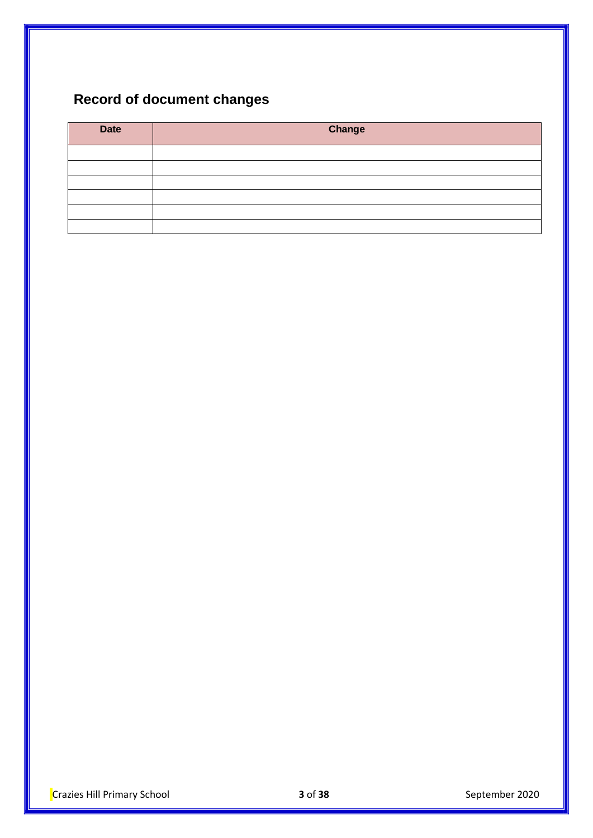# **Record of document changes**

| <b>Date</b> | Change |
|-------------|--------|
|             |        |
|             |        |
|             |        |
|             |        |
|             |        |
|             |        |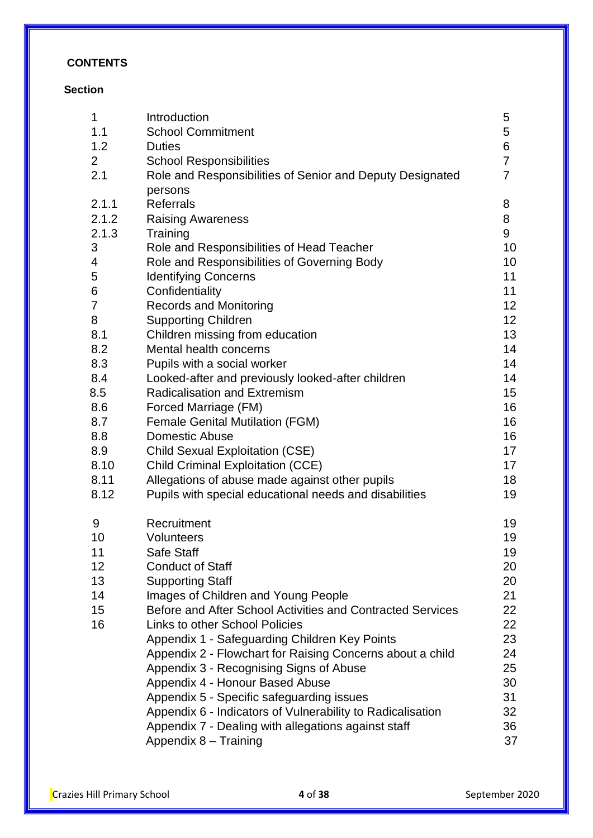# **CONTENTS**

# **Section**

| 1              | Introduction                                               | 5              |
|----------------|------------------------------------------------------------|----------------|
| 1.1            | <b>School Commitment</b>                                   | 5              |
| 1.2            | <b>Duties</b>                                              | 6              |
| $\overline{2}$ | <b>School Responsibilities</b>                             | $\overline{7}$ |
| 2.1            | Role and Responsibilities of Senior and Deputy Designated  | 7              |
|                | persons                                                    |                |
| 2.1.1          | <b>Referrals</b>                                           | 8              |
| 2.1.2          | <b>Raising Awareness</b>                                   | 8              |
| 2.1.3          | Training                                                   | 9              |
| 3              | Role and Responsibilities of Head Teacher                  | 10             |
| 4              | Role and Responsibilities of Governing Body                | 10             |
| 5              | <b>Identifying Concerns</b>                                | 11             |
| 6              | Confidentiality                                            | 11             |
| 7              | <b>Records and Monitoring</b>                              | 12             |
| 8              | <b>Supporting Children</b>                                 | 12             |
| 8.1            | Children missing from education                            | 13             |
| 8.2            | Mental health concerns                                     | 14             |
| 8.3            | Pupils with a social worker                                | 14             |
| 8.4            | Looked-after and previously looked-after children          | 14             |
| 8.5            | <b>Radicalisation and Extremism</b>                        | 15             |
| 8.6            | Forced Marriage (FM)                                       | 16             |
| 8.7            | <b>Female Genital Mutilation (FGM)</b>                     | 16             |
| 8.8            | <b>Domestic Abuse</b>                                      | 16             |
| 8.9            | <b>Child Sexual Exploitation (CSE)</b>                     | 17             |
| 8.10           | <b>Child Criminal Exploitation (CCE)</b>                   | 17             |
| 8.11           | Allegations of abuse made against other pupils             | 18             |
| 8.12           | Pupils with special educational needs and disabilities     | 19             |
| 9              | Recruitment                                                | 19             |
| 10             | Volunteers                                                 | 19             |
| 11             | <b>Safe Staff</b>                                          | 19             |
| 12             | <b>Conduct of Staff</b>                                    | 20             |
| 13             | <b>Supporting Staff</b>                                    | 20             |
| 14             | Images of Children and Young People                        | 21             |
| 15             | Before and After School Activities and Contracted Services | 22             |
| 16             | <b>Links to other School Policies</b>                      | 22             |
|                | Appendix 1 - Safeguarding Children Key Points              | 23             |
|                | Appendix 2 - Flowchart for Raising Concerns about a child  | 24             |
|                | Appendix 3 - Recognising Signs of Abuse                    | 25             |
|                | Appendix 4 - Honour Based Abuse                            | 30             |
|                | Appendix 5 - Specific safeguarding issues                  | 31             |
|                | Appendix 6 - Indicators of Vulnerability to Radicalisation | 32             |
|                | Appendix 7 - Dealing with allegations against staff        | 36             |
|                | Appendix 8 - Training                                      | 37             |
|                |                                                            |                |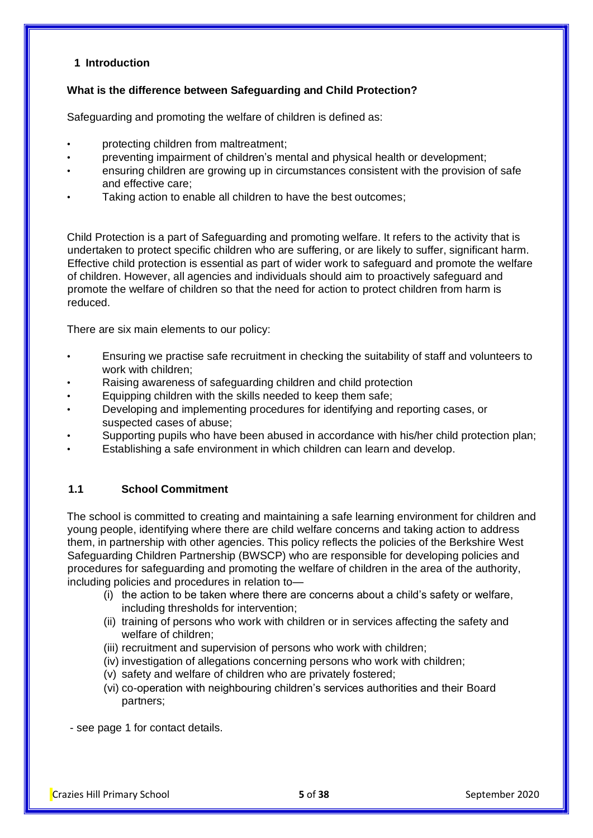# **1 Introduction**

#### **What is the difference between Safeguarding and Child Protection?**

Safeguarding and promoting the welfare of children is defined as:

- protecting children from maltreatment;
- preventing impairment of children's mental and physical health or development;
- ensuring children are growing up in circumstances consistent with the provision of safe and effective care;
- Taking action to enable all children to have the best outcomes;

Child Protection is a part of Safeguarding and promoting welfare. It refers to the activity that is undertaken to protect specific children who are suffering, or are likely to suffer, significant harm. Effective child protection is essential as part of wider work to safeguard and promote the welfare of children. However, all agencies and individuals should aim to proactively safeguard and promote the welfare of children so that the need for action to protect children from harm is reduced.

There are six main elements to our policy:

- Ensuring we practise safe recruitment in checking the suitability of staff and volunteers to work with children;
- Raising awareness of safeguarding children and child protection
- Equipping children with the skills needed to keep them safe;
- Developing and implementing procedures for identifying and reporting cases, or suspected cases of abuse;
- Supporting pupils who have been abused in accordance with his/her child protection plan;
- Establishing a safe environment in which children can learn and develop.

#### **1.1 School Commitment**

The school is committed to creating and maintaining a safe learning environment for children and young people, identifying where there are child welfare concerns and taking action to address them, in partnership with other agencies. This policy reflects the policies of the Berkshire West Safeguarding Children Partnership (BWSCP) who are responsible for developing policies and procedures for safeguarding and promoting the welfare of children in the area of the authority, including policies and procedures in relation to—

- (i) the action to be taken where there are concerns about a child's safety or welfare, including thresholds for intervention;
- (ii) training of persons who work with children or in services affecting the safety and welfare of children;
- (iii) recruitment and supervision of persons who work with children;
- (iv) investigation of allegations concerning persons who work with children;
- (v) safety and welfare of children who are privately fostered;
- (vi) co-operation with neighbouring children's services authorities and their Board partners;

- see page 1 for contact details.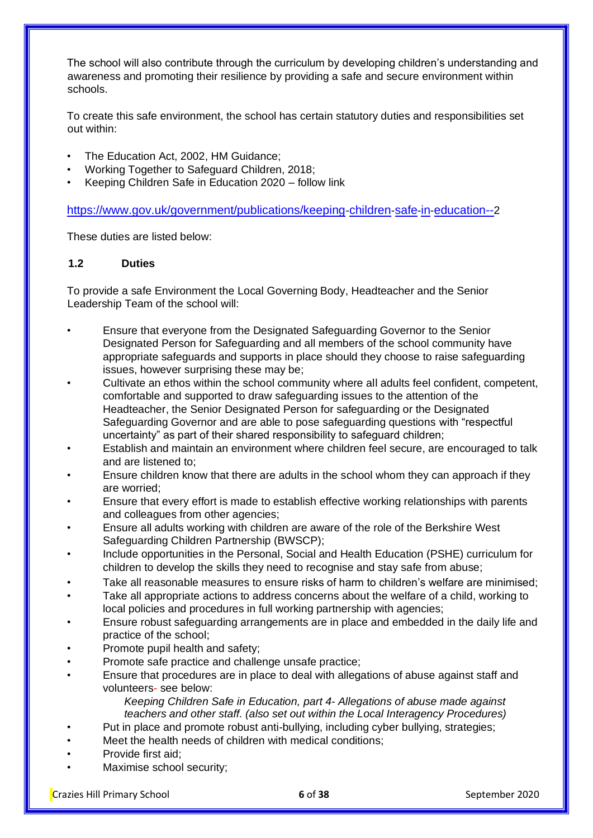The school will also contribute through the curriculum by developing children's understanding and awareness and promoting their resilience by providing a safe and secure environment within schools.

To create this safe environment, the school has certain statutory duties and responsibilities set out within:

- The Education Act, 2002, HM Guidance;
- Working Together to Safeguard Children, 2018;
- Keeping Children Safe in Education 2020 follow link

[https://www.gov.uk/government/publications/keeping](https://www.gov.uk/government/publications/keeping-children-safe-in-education--2)[-](https://www.gov.uk/government/publications/keeping-children-safe-in-education--2)[children](https://www.gov.uk/government/publications/keeping-children-safe-in-education--2)[-](https://www.gov.uk/government/publications/keeping-children-safe-in-education--2)[safe](https://www.gov.uk/government/publications/keeping-children-safe-in-education--2)[-](https://www.gov.uk/government/publications/keeping-children-safe-in-education--2)[in](https://www.gov.uk/government/publications/keeping-children-safe-in-education--2)[-](https://www.gov.uk/government/publications/keeping-children-safe-in-education--2)[education--](https://www.gov.uk/government/publications/keeping-children-safe-in-education--2)[2](https://www.gov.uk/government/publications/keeping-children-safe-in-education--2)

These duties are listed below:

#### **1.2 Duties**

To provide a safe Environment the Local Governing Body, Headteacher and the Senior Leadership Team of the school will:

- Ensure that everyone from the Designated Safeguarding Governor to the Senior Designated Person for Safeguarding and all members of the school community have appropriate safeguards and supports in place should they choose to raise safeguarding issues, however surprising these may be;
- Cultivate an ethos within the school community where all adults feel confident, competent, comfortable and supported to draw safeguarding issues to the attention of the Headteacher, the Senior Designated Person for safeguarding or the Designated Safeguarding Governor and are able to pose safeguarding questions with "respectful uncertainty" as part of their shared responsibility to safeguard children;
- Establish and maintain an environment where children feel secure, are encouraged to talk and are listened to;
- Ensure children know that there are adults in the school whom they can approach if they are worried;
- Ensure that every effort is made to establish effective working relationships with parents and colleagues from other agencies;
- Ensure all adults working with children are aware of the role of the Berkshire West Safeguarding Children Partnership (BWSCP);
- Include opportunities in the Personal, Social and Health Education (PSHE) curriculum for children to develop the skills they need to recognise and stay safe from abuse;
- Take all reasonable measures to ensure risks of harm to children's welfare are minimised;
- Take all appropriate actions to address concerns about the welfare of a child, working to local policies and procedures in full working partnership with agencies;
- Ensure robust safeguarding arrangements are in place and embedded in the daily life and practice of the school;
- Promote pupil health and safety;
- Promote safe practice and challenge unsafe practice;
- Ensure that procedures are in place to deal with allegations of abuse against staff and volunteers- see below:

*Keeping Children Safe in Education, part 4- Allegations of abuse made against teachers and other staff. (also set out within the Local Interagency Procedures)*

- Put in place and promote robust anti-bullying, including cyber bullying, strategies;
- Meet the health needs of children with medical conditions;
- Provide first aid;
- Maximise school security:

Crazies Hill Primary School **6** of **38** September 2020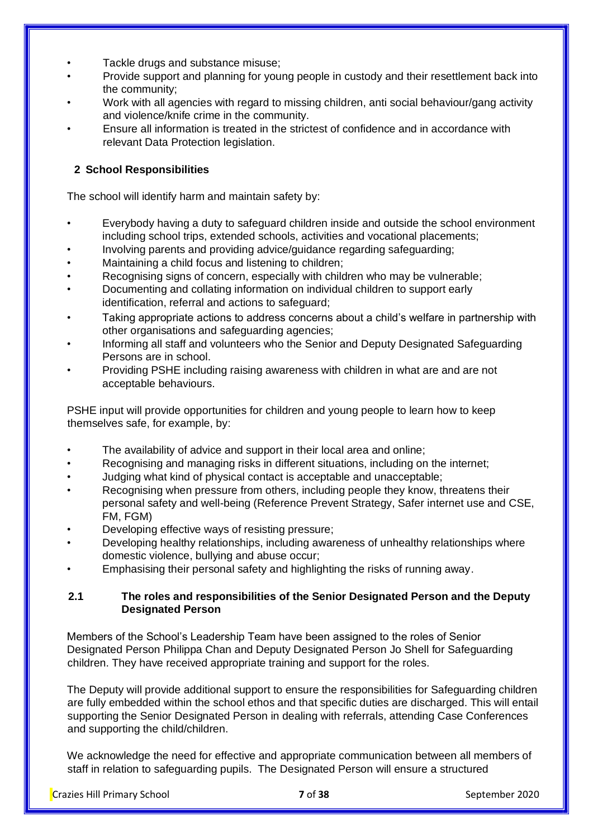- Tackle drugs and substance misuse;
- Provide support and planning for young people in custody and their resettlement back into the community;
- Work with all agencies with regard to missing children, anti social behaviour/gang activity and violence/knife crime in the community.
- Ensure all information is treated in the strictest of confidence and in accordance with relevant Data Protection legislation.

# **2 School Responsibilities**

The school will identify harm and maintain safety by:

- Everybody having a duty to safeguard children inside and outside the school environment including school trips, extended schools, activities and vocational placements;
- Involving parents and providing advice/guidance regarding safeguarding;
- Maintaining a child focus and listening to children;
- Recognising signs of concern, especially with children who may be vulnerable;
- Documenting and collating information on individual children to support early identification, referral and actions to safeguard;
- Taking appropriate actions to address concerns about a child's welfare in partnership with other organisations and safeguarding agencies;
- Informing all staff and volunteers who the Senior and Deputy Designated Safeguarding Persons are in school.
- Providing PSHE including raising awareness with children in what are and are not acceptable behaviours.

PSHE input will provide opportunities for children and young people to learn how to keep themselves safe, for example, by:

- The availability of advice and support in their local area and online;
- Recognising and managing risks in different situations, including on the internet:
- Judging what kind of physical contact is acceptable and unacceptable;
- Recognising when pressure from others, including people they know, threatens their personal safety and well-being (Reference Prevent Strategy, Safer internet use and CSE, FM, FGM)
- Developing effective ways of resisting pressure;
- Developing healthy relationships, including awareness of unhealthy relationships where domestic violence, bullying and abuse occur;
- Emphasising their personal safety and highlighting the risks of running away.

# **2.1 The roles and responsibilities of the Senior Designated Person and the Deputy Designated Person**

Members of the School's Leadership Team have been assigned to the roles of Senior Designated Person Philippa Chan and Deputy Designated Person Jo Shell for Safeguarding children. They have received appropriate training and support for the roles.

The Deputy will provide additional support to ensure the responsibilities for Safeguarding children are fully embedded within the school ethos and that specific duties are discharged. This will entail supporting the Senior Designated Person in dealing with referrals, attending Case Conferences and supporting the child/children.

We acknowledge the need for effective and appropriate communication between all members of staff in relation to safeguarding pupils. The Designated Person will ensure a structured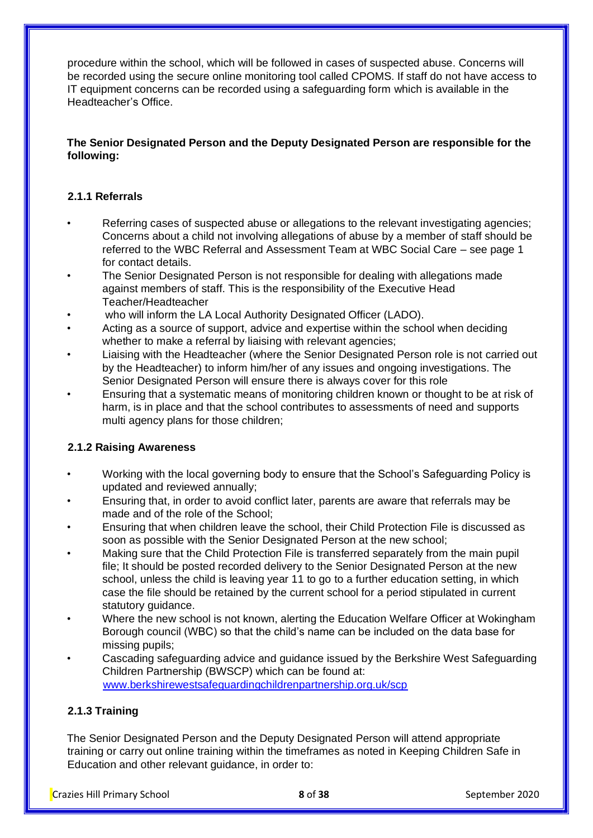procedure within the school, which will be followed in cases of suspected abuse. Concerns will be recorded using the secure online monitoring tool called CPOMS. If staff do not have access to IT equipment concerns can be recorded using a safeguarding form which is available in the Headteacher's Office.

# **The Senior Designated Person and the Deputy Designated Person are responsible for the following:**

# **2.1.1 Referrals**

- Referring cases of suspected abuse or allegations to the relevant investigating agencies; Concerns about a child not involving allegations of abuse by a member of staff should be referred to the WBC Referral and Assessment Team at WBC Social Care – see page 1 for contact details.
- The Senior Designated Person is not responsible for dealing with allegations made against members of staff. This is the responsibility of the Executive Head Teacher/Headteacher
- who will inform the LA Local Authority Designated Officer (LADO).
- Acting as a source of support, advice and expertise within the school when deciding whether to make a referral by liaising with relevant agencies;
- Liaising with the Headteacher (where the Senior Designated Person role is not carried out by the Headteacher) to inform him/her of any issues and ongoing investigations. The Senior Designated Person will ensure there is always cover for this role
- Ensuring that a systematic means of monitoring children known or thought to be at risk of harm, is in place and that the school contributes to assessments of need and supports multi agency plans for those children;

#### **2.1.2 Raising Awareness**

- Working with the local governing body to ensure that the School's Safeguarding Policy is updated and reviewed annually;
- Ensuring that, in order to avoid conflict later, parents are aware that referrals may be made and of the role of the School;
- Ensuring that when children leave the school, their Child Protection File is discussed as soon as possible with the Senior Designated Person at the new school;
- Making sure that the Child Protection File is transferred separately from the main pupil file; It should be posted recorded delivery to the Senior Designated Person at the new school, unless the child is leaving year 11 to go to a further education setting, in which case the file should be retained by the current school for a period stipulated in current statutory quidance.
- Where the new school is not known, alerting the Education Welfare Officer at Wokingham Borough council (WBC) so that the child's name can be included on the data base for missing pupils;
- Cascading safeguarding advice and guidance issued by the Berkshire West Safeguarding Children Partnership (BWSCP) which can be found at: [www.berkshirewestsafeguardingchildrenpartnership.org.uk/scp](http://www.berkshirewestsafeguardingchildrenpartnership.org.uk/scp)

#### **2.1.3 Training**

The Senior Designated Person and the Deputy Designated Person will attend appropriate training or carry out online training within the timeframes as noted in Keeping Children Safe in Education and other relevant guidance, in order to:

Crazies Hill Primary School **8** of **38** September 2020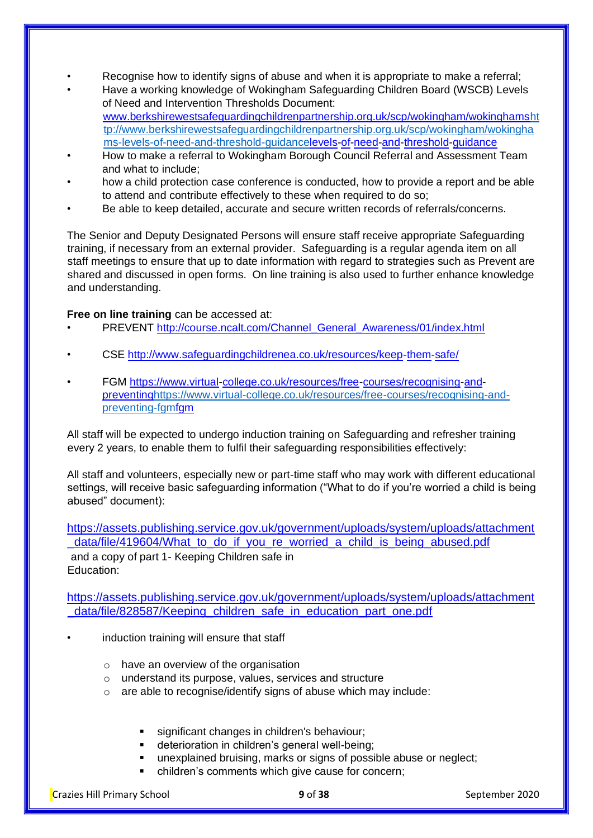- Recognise how to identify signs of abuse and when it is appropriate to make a referral;
- Have a working knowledge of Wokingham Safeguarding Children Board (WSCB) Levels of Need and Intervention Thresholds Document: [www.berkshirewestsafeguardingchildrenpartnership.org.uk/scp/wokingham/wokinghamsht](http://www.berkshirewestsafeguardingchildrenpartnership.org.uk/scp/wokingham/wokinghams-levels-of-need-and-threshold-guidance) [tp://www.berkshirewestsafeguardingchildrenpartnership.org.uk/scp/wokingham/wokingha](http://www.berkshirewestsafeguardingchildrenpartnership.org.uk/scp/wokingham/wokinghams-levels-of-need-and-threshold-guidance) [ms-levels-of-need-and-threshold-guidancelevels-of-need-and-threshold-guidance](http://www.berkshirewestsafeguardingchildrenpartnership.org.uk/scp/wokingham/wokinghams-levels-of-need-and-threshold-guidance)
- How to make a referral to Wokingham Borough Council Referral and Assessment Team and what to include;
- how a child protection case conference is conducted, how to provide a report and be able to attend and contribute effectively to these when required to do so;
- Be able to keep detailed, accurate and secure written records of referrals/concerns.

The Senior and Deputy Designated Persons will ensure staff receive appropriate Safeguarding training, if necessary from an external provider. Safeguarding is a regular agenda item on all staff meetings to ensure that up to date information with regard to strategies such as Prevent are shared and discussed in open forms. On line training is also used to further enhance knowledge and understanding.

#### **Free on line training** can be accessed at:

- PREVENT [http://course.ncalt.com/Channel\\_General\\_Awareness/01/index.html](http://course.ncalt.com/Channel_General_Awareness/01/index.html)
- CSE<http://www.safeguardingchildrenea.co.uk/resources/keep-them-safe/>
- FGM [https://www.virtual-college.co.uk/resources/free-courses/recognising-and](https://www.virtual-college.co.uk/resources/free-courses/recognising-and-preventing-fgm)[preventinghttps://www.virtual-college.co.uk/resources/free-courses/recognising-and](https://www.virtual-college.co.uk/resources/free-courses/recognising-and-preventing-fgm)[preventing-fgmfgm](https://www.virtual-college.co.uk/resources/free-courses/recognising-and-preventing-fgm)

All staff will be expected to undergo induction training on Safeguarding and refresher training every 2 years, to enable them to fulfil their safeguarding responsibilities effectively:

All staff and volunteers, especially new or part-time staff who may work with different educational settings, will receive basic safeguarding information ("What to do if you're worried a child is being abused" document):

[https://assets.publishing.service.gov.uk/government/uploads/system/uploads/attachment](https://assets.publishing.service.gov.uk/government/uploads/system/uploads/attachment_data/file/419604/What_to_do_if_you_re_worried_a_child_is_being_abused.pdf)  data/file/419604/What to do if you re worried a child is being abused.pdf and a copy of part 1- Keeping Children safe in Education:

[https://assets.publishing.service.gov.uk/government/uploads/system/uploads/attachment](https://assets.publishing.service.gov.uk/government/uploads/system/uploads/attachment_data/file/828587/Keeping_children_safe_in_education_part_one.pdf)  [\\_data/file/828587/Keeping\\_children\\_safe\\_in\\_education\\_part\\_one.pdf](https://assets.publishing.service.gov.uk/government/uploads/system/uploads/attachment_data/file/828587/Keeping_children_safe_in_education_part_one.pdf)

- induction training will ensure that staff
	- $\circ$  have an overview of the organisation
	- o understand its purpose, values, services and structure
	- o are able to recognise/identify signs of abuse which may include:
		- significant changes in children's behaviour:
		- **•** deterioration in children's general well-being;
		- unexplained bruising, marks or signs of possible abuse or neglect;
			- children's comments which give cause for concern;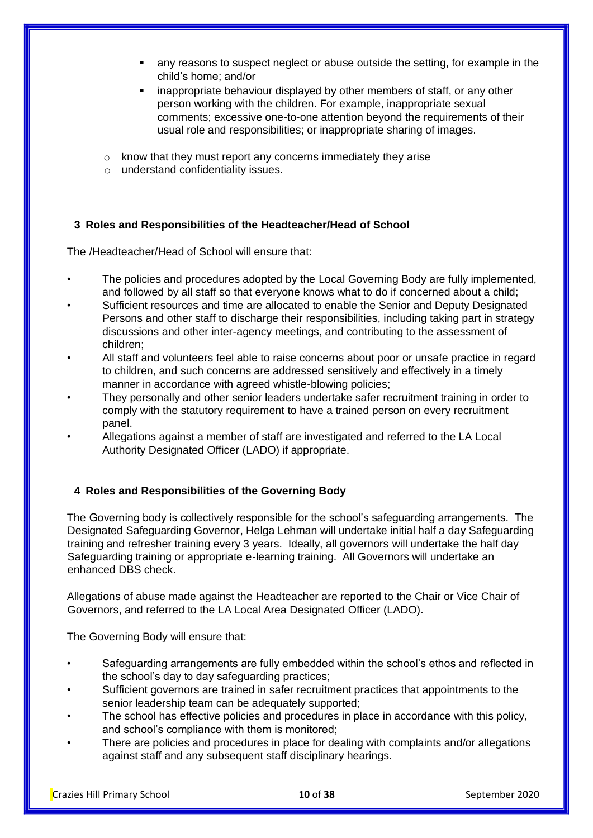- any reasons to suspect neglect or abuse outside the setting, for example in the child's home; and/or
- inappropriate behaviour displayed by other members of staff, or any other person working with the children. For example, inappropriate sexual comments; excessive one-to-one attention beyond the requirements of their usual role and responsibilities; or inappropriate sharing of images.
- o know that they must report any concerns immediately they arise
- o understand confidentiality issues.

#### **3 Roles and Responsibilities of the Headteacher/Head of School**

The /Headteacher/Head of School will ensure that:

- The policies and procedures adopted by the Local Governing Body are fully implemented, and followed by all staff so that everyone knows what to do if concerned about a child;
- Sufficient resources and time are allocated to enable the Senior and Deputy Designated Persons and other staff to discharge their responsibilities, including taking part in strategy discussions and other inter-agency meetings, and contributing to the assessment of children;
- All staff and volunteers feel able to raise concerns about poor or unsafe practice in regard to children, and such concerns are addressed sensitively and effectively in a timely manner in accordance with agreed whistle-blowing policies;
- They personally and other senior leaders undertake safer recruitment training in order to comply with the statutory requirement to have a trained person on every recruitment panel.
- Allegations against a member of staff are investigated and referred to the LA Local Authority Designated Officer (LADO) if appropriate.

# **4 Roles and Responsibilities of the Governing Body**

The Governing body is collectively responsible for the school's safeguarding arrangements. The Designated Safeguarding Governor, Helga Lehman will undertake initial half a day Safeguarding training and refresher training every 3 years. Ideally, all governors will undertake the half day Safeguarding training or appropriate e-learning training. All Governors will undertake an enhanced DBS check.

Allegations of abuse made against the Headteacher are reported to the Chair or Vice Chair of Governors, and referred to the LA Local Area Designated Officer (LADO).

The Governing Body will ensure that:

- Safeguarding arrangements are fully embedded within the school's ethos and reflected in the school's day to day safeguarding practices;
- Sufficient governors are trained in safer recruitment practices that appointments to the senior leadership team can be adequately supported;
- The school has effective policies and procedures in place in accordance with this policy, and school's compliance with them is monitored;
- There are policies and procedures in place for dealing with complaints and/or allegations against staff and any subsequent staff disciplinary hearings.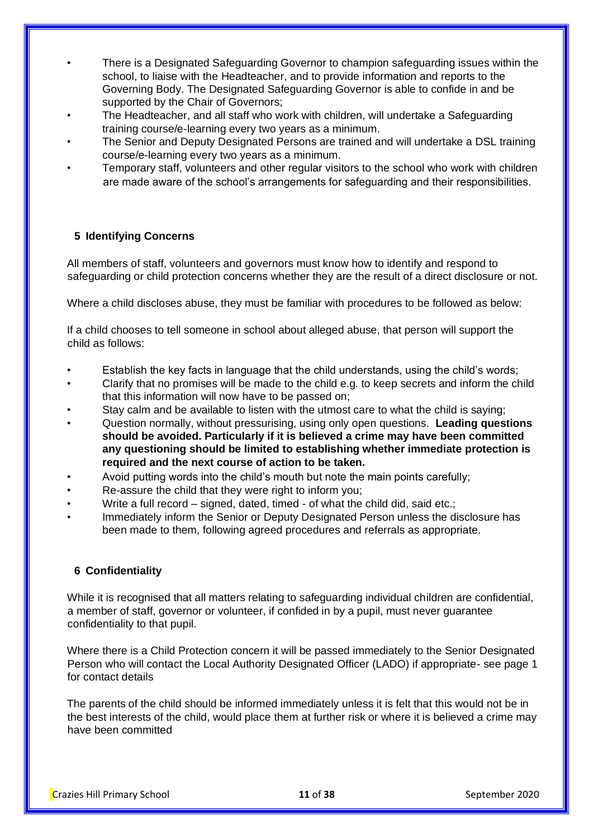- There is a Designated Safeguarding Governor to champion safeguarding issues within the school, to liaise with the Headteacher, and to provide information and reports to the Governing Body. The Designated Safeguarding Governor is able to confide in and be supported by the Chair of Governors;
- The Headteacher, and all staff who work with children, will undertake a Safeguarding training course/e-learning every two years as a minimum.
- The Senior and Deputy Designated Persons are trained and will undertake a DSL training course/e-learning every two years as a minimum.
- Temporary staff, volunteers and other regular visitors to the school who work with children are made aware of the school's arrangements for safeguarding and their responsibilities.

#### **5 Identifying Concerns**

All members of staff, volunteers and governors must know how to identify and respond to safeguarding or child protection concerns whether they are the result of a direct disclosure or not.

Where a child discloses abuse, they must be familiar with procedures to be followed as below:

If a child chooses to tell someone in school about alleged abuse, that person will support the child as follows:

- Establish the key facts in language that the child understands, using the child's words;
- Clarify that no promises will be made to the child e.g. to keep secrets and inform the child that this information will now have to be passed on;
- Stay calm and be available to listen with the utmost care to what the child is saying;
- Question normally, without pressurising, using only open questions. **Leading questions should be avoided. Particularly if it is believed a crime may have been committed any questioning should be limited to establishing whether immediate protection is required and the next course of action to be taken.**
- Avoid putting words into the child's mouth but note the main points carefully;
- Re-assure the child that they were right to inform you;
- Write a full record signed, dated, timed of what the child did, said etc.;
- Immediately inform the Senior or Deputy Designated Person unless the disclosure has been made to them, following agreed procedures and referrals as appropriate.

#### **6 Confidentiality**

While it is recognised that all matters relating to safeguarding individual children are confidential, a member of staff, governor or volunteer, if confided in by a pupil, must never guarantee confidentiality to that pupil.

Where there is a Child Protection concern it will be passed immediately to the Senior Designated Person who will contact the Local Authority Designated Officer (LADO) if appropriate- see page 1 for contact details

The parents of the child should be informed immediately unless it is felt that this would not be in the best interests of the child, would place them at further risk or where it is believed a crime may have been committed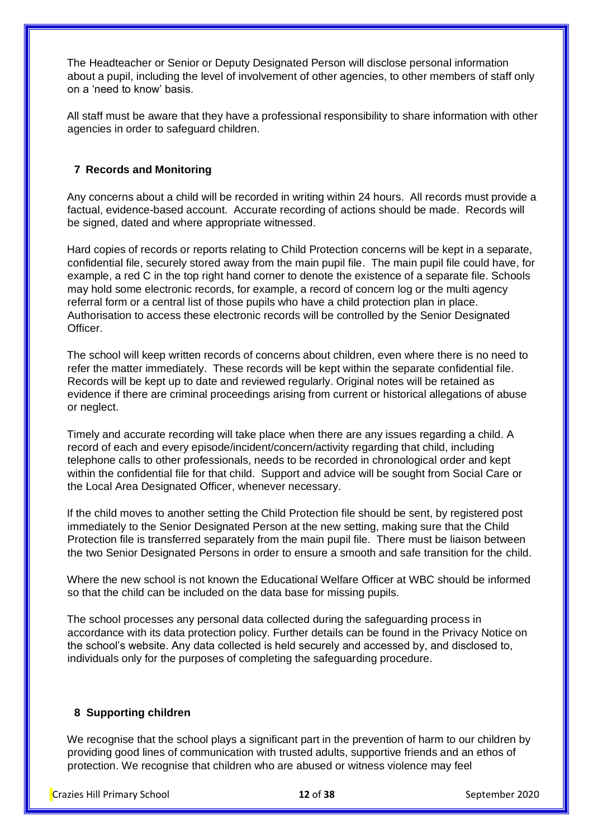The Headteacher or Senior or Deputy Designated Person will disclose personal information about a pupil, including the level of involvement of other agencies, to other members of staff only on a 'need to know' basis.

All staff must be aware that they have a professional responsibility to share information with other agencies in order to safeguard children.

#### **7 Records and Monitoring**

Any concerns about a child will be recorded in writing within 24 hours. All records must provide a factual, evidence-based account. Accurate recording of actions should be made. Records will be signed, dated and where appropriate witnessed.

Hard copies of records or reports relating to Child Protection concerns will be kept in a separate, confidential file, securely stored away from the main pupil file. The main pupil file could have, for example, a red C in the top right hand corner to denote the existence of a separate file. Schools may hold some electronic records, for example, a record of concern log or the multi agency referral form or a central list of those pupils who have a child protection plan in place. Authorisation to access these electronic records will be controlled by the Senior Designated Officer.

The school will keep written records of concerns about children, even where there is no need to refer the matter immediately. These records will be kept within the separate confidential file. Records will be kept up to date and reviewed regularly. Original notes will be retained as evidence if there are criminal proceedings arising from current or historical allegations of abuse or neglect.

Timely and accurate recording will take place when there are any issues regarding a child. A record of each and every episode/incident/concern/activity regarding that child, including telephone calls to other professionals, needs to be recorded in chronological order and kept within the confidential file for that child. Support and advice will be sought from Social Care or the Local Area Designated Officer, whenever necessary.

If the child moves to another setting the Child Protection file should be sent, by registered post immediately to the Senior Designated Person at the new setting, making sure that the Child Protection file is transferred separately from the main pupil file. There must be liaison between the two Senior Designated Persons in order to ensure a smooth and safe transition for the child.

Where the new school is not known the Educational Welfare Officer at WBC should be informed so that the child can be included on the data base for missing pupils.

The school processes any personal data collected during the safeguarding process in accordance with its data protection policy. Further details can be found in the Privacy Notice on the school's website. Any data collected is held securely and accessed by, and disclosed to, individuals only for the purposes of completing the safeguarding procedure.

#### **8 Supporting children**

We recognise that the school plays a significant part in the prevention of harm to our children by providing good lines of communication with trusted adults, supportive friends and an ethos of protection. We recognise that children who are abused or witness violence may feel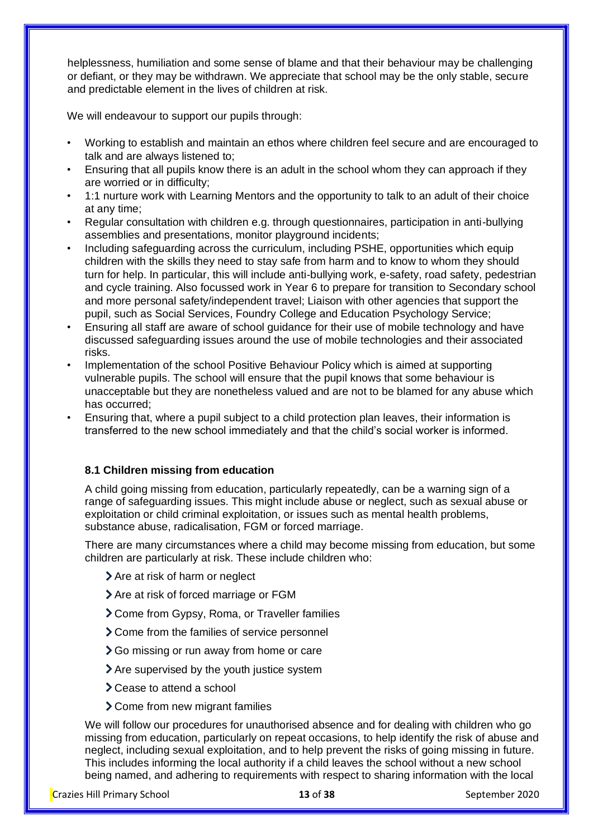helplessness, humiliation and some sense of blame and that their behaviour may be challenging or defiant, or they may be withdrawn. We appreciate that school may be the only stable, secure and predictable element in the lives of children at risk.

We will endeavour to support our pupils through:

- Working to establish and maintain an ethos where children feel secure and are encouraged to talk and are always listened to;
- Ensuring that all pupils know there is an adult in the school whom they can approach if they are worried or in difficulty;
- 1:1 nurture work with Learning Mentors and the opportunity to talk to an adult of their choice at any time;
- Regular consultation with children e.g. through questionnaires, participation in anti-bullying assemblies and presentations, monitor playground incidents;
- Including safeguarding across the curriculum, including PSHE, opportunities which equip children with the skills they need to stay safe from harm and to know to whom they should turn for help. In particular, this will include anti-bullying work, e-safety, road safety, pedestrian and cycle training. Also focussed work in Year 6 to prepare for transition to Secondary school and more personal safety/independent travel; Liaison with other agencies that support the pupil, such as Social Services, Foundry College and Education Psychology Service;
- Ensuring all staff are aware of school guidance for their use of mobile technology and have discussed safeguarding issues around the use of mobile technologies and their associated risks.
- Implementation of the school Positive Behaviour Policy which is aimed at supporting vulnerable pupils. The school will ensure that the pupil knows that some behaviour is unacceptable but they are nonetheless valued and are not to be blamed for any abuse which has occurred;
- Ensuring that, where a pupil subject to a child protection plan leaves, their information is transferred to the new school immediately and that the child's social worker is informed.

#### **8.1 Children missing from education**

A child going missing from education, particularly repeatedly, can be a warning sign of a range of safeguarding issues. This might include abuse or neglect, such as sexual abuse or exploitation or child criminal exploitation, or issues such as mental health problems, substance abuse, radicalisation, FGM or forced marriage.

There are many circumstances where a child may become missing from education, but some children are particularly at risk. These include children who:

- > Are at risk of harm or neglect
- > Are at risk of forced marriage or FGM
- Come from Gypsy, Roma, or Traveller families
- > Come from the families of service personnel
- **>** Go missing or run away from home or care
- Are supervised by the youth justice system
- > Cease to attend a school
- Come from new migrant families

We will follow our procedures for unauthorised absence and for dealing with children who go missing from education, particularly on repeat occasions, to help identify the risk of abuse and neglect, including sexual exploitation, and to help prevent the risks of going missing in future. This includes informing the local authority if a child leaves the school without a new school being named, and adhering to requirements with respect to sharing information with the local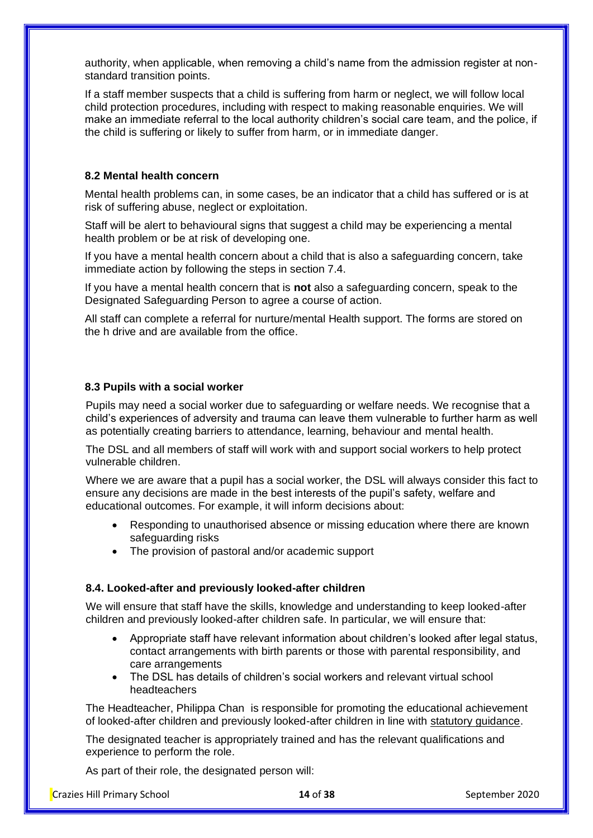authority, when applicable, when removing a child's name from the admission register at nonstandard transition points.

If a staff member suspects that a child is suffering from harm or neglect, we will follow local child protection procedures, including with respect to making reasonable enquiries. We will make an immediate referral to the local authority children's social care team, and the police, if the child is suffering or likely to suffer from harm, or in immediate danger.

#### **8.2 Mental health concern**

Mental health problems can, in some cases, be an indicator that a child has suffered or is at risk of suffering abuse, neglect or exploitation.

Staff will be alert to behavioural signs that suggest a child may be experiencing a mental health problem or be at risk of developing one.

If you have a mental health concern about a child that is also a safeguarding concern, take immediate action by following the steps in section 7.4.

If you have a mental health concern that is **not** also a safeguarding concern, speak to the Designated Safeguarding Person to agree a course of action.

All staff can complete a referral for nurture/mental Health support. The forms are stored on the h drive and are available from the office.

#### **8.3 Pupils with a social worker**

Pupils may need a social worker due to safeguarding or welfare needs. We recognise that a child's experiences of adversity and trauma can leave them vulnerable to further harm as well as potentially creating barriers to attendance, learning, behaviour and mental health.

The DSL and all members of staff will work with and support social workers to help protect vulnerable children.

Where we are aware that a pupil has a social worker, the DSL will always consider this fact to ensure any decisions are made in the best interests of the pupil's safety, welfare and educational outcomes. For example, it will inform decisions about:

- Responding to unauthorised absence or missing education where there are known safeguarding risks
- The provision of pastoral and/or academic support

#### **8.4. Looked-after and previously looked-after children**

We will ensure that staff have the skills, knowledge and understanding to keep looked-after children and previously looked-after children safe. In particular, we will ensure that:

- Appropriate staff have relevant information about children's looked after legal status, contact arrangements with birth parents or those with parental responsibility, and care arrangements
- The DSL has details of children's social workers and relevant virtual school headteachers

The Headteacher, Philippa Chan is responsible for promoting the educational achievement of looked-after children and previously looked-after children in line with [statutory guidance.](https://www.gov.uk/government/publications/designated-teacher-for-looked-after-children)

The designated teacher is appropriately trained and has the relevant qualifications and experience to perform the role.

As part of their role, the designated person will: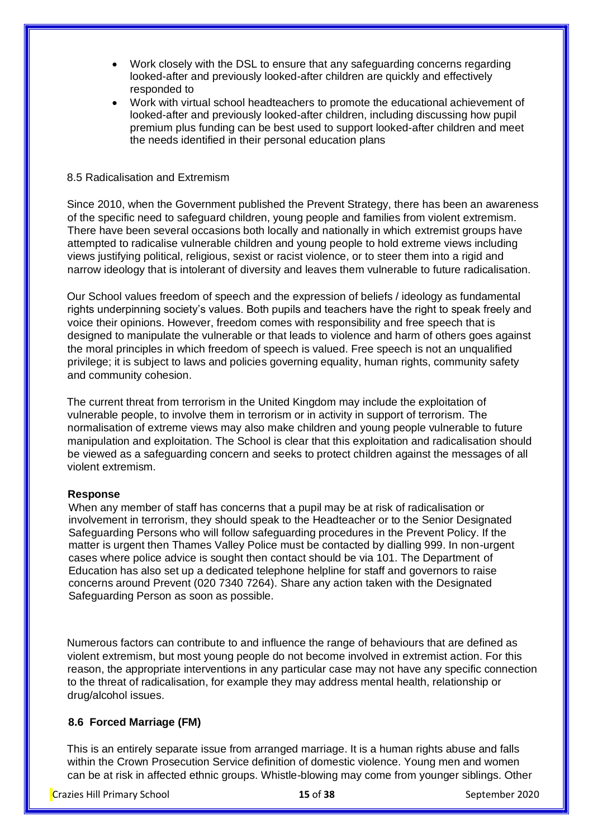- Work closely with the DSL to ensure that any safeguarding concerns regarding looked-after and previously looked-after children are quickly and effectively responded to
- Work with virtual school headteachers to promote the educational achievement of looked-after and previously looked-after children, including discussing how pupil premium plus funding can be best used to support looked-after children and meet the needs identified in their personal education plans

#### 8.5 Radicalisation and Extremism

Since 2010, when the Government published the Prevent Strategy, there has been an awareness of the specific need to safeguard children, young people and families from violent extremism. There have been several occasions both locally and nationally in which extremist groups have attempted to radicalise vulnerable children and young people to hold extreme views including views justifying political, religious, sexist or racist violence, or to steer them into a rigid and narrow ideology that is intolerant of diversity and leaves them vulnerable to future radicalisation.

Our School values freedom of speech and the expression of beliefs / ideology as fundamental rights underpinning society's values. Both pupils and teachers have the right to speak freely and voice their opinions. However, freedom comes with responsibility and free speech that is designed to manipulate the vulnerable or that leads to violence and harm of others goes against the moral principles in which freedom of speech is valued. Free speech is not an unqualified privilege; it is subject to laws and policies governing equality, human rights, community safety and community cohesion.

The current threat from terrorism in the United Kingdom may include the exploitation of vulnerable people, to involve them in terrorism or in activity in support of terrorism. The normalisation of extreme views may also make children and young people vulnerable to future manipulation and exploitation. The School is clear that this exploitation and radicalisation should be viewed as a safeguarding concern and seeks to protect children against the messages of all violent extremism.

#### **Response**

When any member of staff has concerns that a pupil may be at risk of radicalisation or involvement in terrorism, they should speak to the Headteacher or to the Senior Designated Safeguarding Persons who will follow safeguarding procedures in the Prevent Policy. If the matter is urgent then Thames Valley Police must be contacted by dialling 999. In non-urgent cases where police advice is sought then contact should be via 101. The Department of Education has also set up a dedicated telephone helpline for staff and governors to raise concerns around Prevent (020 7340 7264). Share any action taken with the Designated Safeguarding Person as soon as possible.

Numerous factors can contribute to and influence the range of behaviours that are defined as violent extremism, but most young people do not become involved in extremist action. For this reason, the appropriate interventions in any particular case may not have any specific connection to the threat of radicalisation, for example they may address mental health, relationship or drug/alcohol issues.

#### **8.6 Forced Marriage (FM)**

This is an entirely separate issue from arranged marriage. It is a human rights abuse and falls within the Crown Prosecution Service definition of domestic violence. Young men and women can be at risk in affected ethnic groups. Whistle-blowing may come from younger siblings. Other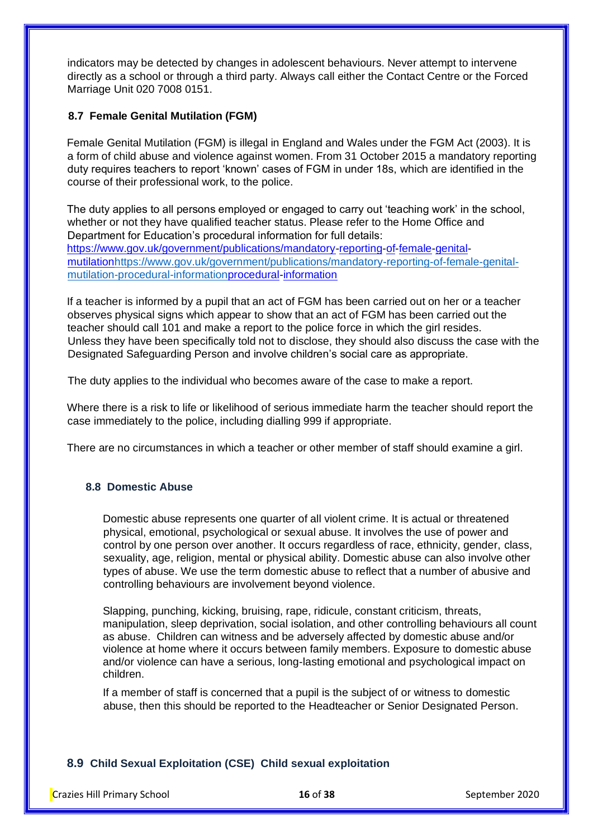indicators may be detected by changes in adolescent behaviours. Never attempt to intervene directly as a school or through a third party. Always call either the Contact Centre or the Forced Marriage Unit 020 7008 0151.

# **8.7 Female Genital Mutilation (FGM)**

Female Genital Mutilation (FGM) is illegal in England and Wales under the FGM Act (2003). It is a form of child abuse and violence against women. From 31 October 2015 a mandatory reporting duty requires teachers to report 'known' cases of FGM in under 18s, which are identified in the course of their professional work, to the police.

The duty applies to all persons employed or engaged to carry out 'teaching work' in the school, whether or not they have qualified teacher status. Please refer to the Home Office and Department for Education's procedural information for full details: [https://www.gov.uk/government/publications/mandatory-reporting-of-female-genital](https://www.gov.uk/government/publications/mandatory-reporting-of-female-genital-mutilation-procedural-information)[mutilationhttps://www.gov.uk/government/publications/mandatory-reporting-of-female-genital](https://www.gov.uk/government/publications/mandatory-reporting-of-female-genital-mutilation-procedural-information)[mutilation-procedural-informationprocedural-information](https://www.gov.uk/government/publications/mandatory-reporting-of-female-genital-mutilation-procedural-information)

If a teacher is informed by a pupil that an act of FGM has been carried out on her or a teacher observes physical signs which appear to show that an act of FGM has been carried out the teacher should call 101 and make a report to the police force in which the girl resides. Unless they have been specifically told not to disclose, they should also discuss the case with the Designated Safeguarding Person and involve children's social care as appropriate.

The duty applies to the individual who becomes aware of the case to make a report.

Where there is a risk to life or likelihood of serious immediate harm the teacher should report the case immediately to the police, including dialling 999 if appropriate.

There are no circumstances in which a teacher or other member of staff should examine a girl.

# **8.8 Domestic Abuse**

Domestic abuse represents one quarter of all violent crime. It is actual or threatened physical, emotional, psychological or sexual abuse. It involves the use of power and control by one person over another. It occurs regardless of race, ethnicity, gender, class, sexuality, age, religion, mental or physical ability. Domestic abuse can also involve other types of abuse. We use the term domestic abuse to reflect that a number of abusive and controlling behaviours are involvement beyond violence.

Slapping, punching, kicking, bruising, rape, ridicule, constant criticism, threats, manipulation, sleep deprivation, social isolation, and other controlling behaviours all count as abuse. Children can witness and be adversely affected by domestic abuse and/or violence at home where it occurs between family members. Exposure to domestic abuse and/or violence can have a serious, long-lasting emotional and psychological impact on children.

If a member of staff is concerned that a pupil is the subject of or witness to domestic abuse, then this should be reported to the Headteacher or Senior Designated Person.

# **8.9 Child Sexual Exploitation (CSE) Child sexual exploitation**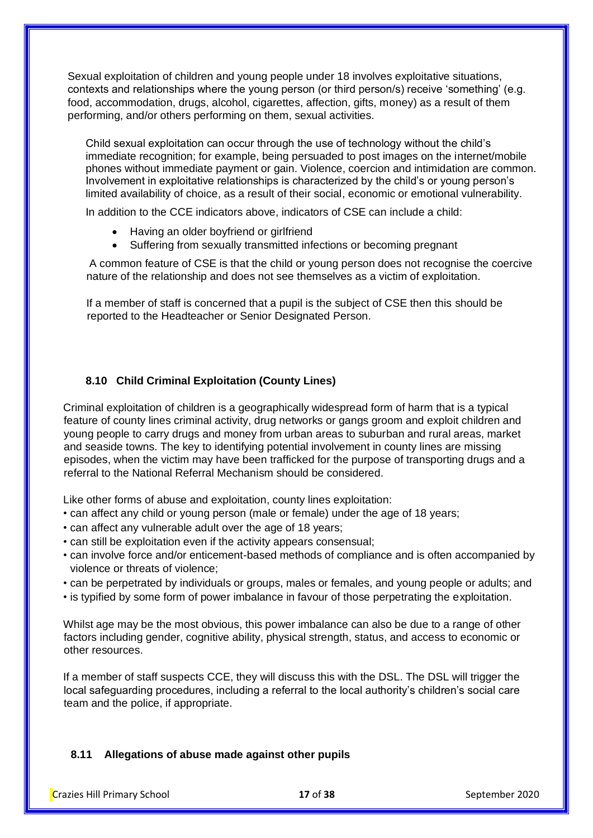Sexual exploitation of children and young people under 18 involves exploitative situations, contexts and relationships where the young person (or third person/s) receive 'something' (e.g. food, accommodation, drugs, alcohol, cigarettes, affection, gifts, money) as a result of them performing, and/or others performing on them, sexual activities.

Child sexual exploitation can occur through the use of technology without the child's immediate recognition; for example, being persuaded to post images on the internet/mobile phones without immediate payment or gain. Violence, coercion and intimidation are common. Involvement in exploitative relationships is characterized by the child's or young person's limited availability of choice, as a result of their social, economic or emotional vulnerability.

In addition to the CCE indicators above, indicators of CSE can include a child:

- Having an older boyfriend or girlfriend
- Suffering from sexually transmitted infections or becoming pregnant

A common feature of CSE is that the child or young person does not recognise the coercive nature of the relationship and does not see themselves as a victim of exploitation.

If a member of staff is concerned that a pupil is the subject of CSE then this should be reported to the Headteacher or Senior Designated Person.

# **8.10 Child Criminal Exploitation (County Lines)**

Criminal exploitation of children is a geographically widespread form of harm that is a typical feature of county lines criminal activity, drug networks or gangs groom and exploit children and young people to carry drugs and money from urban areas to suburban and rural areas, market and seaside towns. The key to identifying potential involvement in county lines are missing episodes, when the victim may have been trafficked for the purpose of transporting drugs and a referral to the National Referral Mechanism should be considered.

Like other forms of abuse and exploitation, county lines exploitation:

- can affect any child or young person (male or female) under the age of 18 years;
- can affect any vulnerable adult over the age of 18 years;
- can still be exploitation even if the activity appears consensual;
- can involve force and/or enticement-based methods of compliance and is often accompanied by violence or threats of violence;
- can be perpetrated by individuals or groups, males or females, and young people or adults; and
- is typified by some form of power imbalance in favour of those perpetrating the exploitation.

Whilst age may be the most obvious, this power imbalance can also be due to a range of other factors including gender, cognitive ability, physical strength, status, and access to economic or other resources.

If a member of staff suspects CCE, they will discuss this with the DSL. The DSL will trigger the local safeguarding procedures, including a referral to the local authority's children's social care team and the police, if appropriate.

#### **8.11 Allegations of abuse made against other pupils**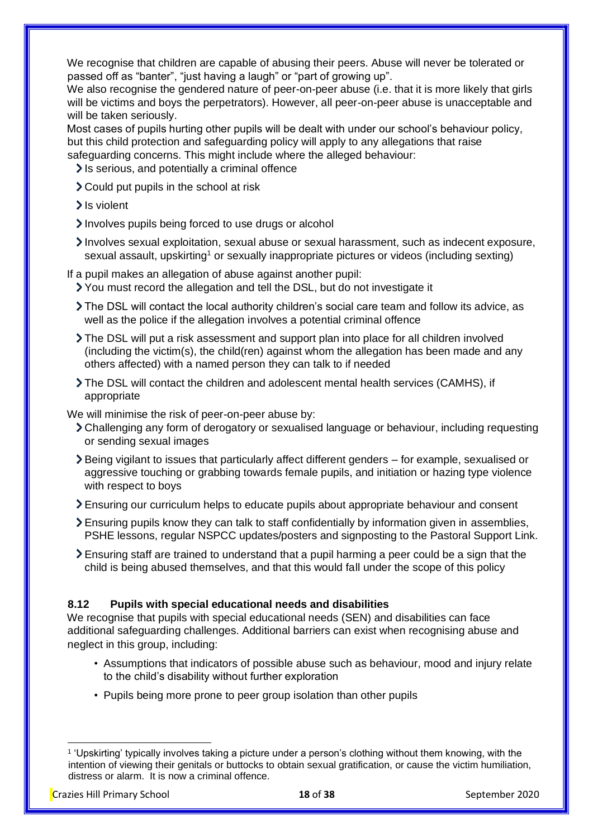We recognise that children are capable of abusing their peers. Abuse will never be tolerated or passed off as "banter", "just having a laugh" or "part of growing up".

We also recognise the gendered nature of peer-on-peer abuse (i.e. that it is more likely that girls will be victims and boys the perpetrators). However, all peer-on-peer abuse is unacceptable and will be taken seriously.

Most cases of pupils hurting other pupils will be dealt with under our school's behaviour policy, but this child protection and safeguarding policy will apply to any allegations that raise safeguarding concerns. This might include where the alleged behaviour:

- It is serious, and potentially a criminal offence
- Could put pupils in the school at risk
- > Is violent
- Involves pupils being forced to use drugs or alcohol
- Involves sexual exploitation, sexual abuse or sexual harassment, such as indecent exposure, sexual assault, upskirting<sup>1</sup> or sexually inappropriate pictures or videos (including sexting)
- If a pupil makes an allegation of abuse against another pupil:
	- You must record the allegation and tell the DSL, but do not investigate it
	- The DSL will contact the local authority children's social care team and follow its advice, as well as the police if the allegation involves a potential criminal offence
	- The DSL will put a risk assessment and support plan into place for all children involved (including the victim(s), the child(ren) against whom the allegation has been made and any others affected) with a named person they can talk to if needed
	- $\ge$  The DSL will contact the children and adolescent mental health services (CAMHS), if appropriate

We will minimise the risk of peer-on-peer abuse by:

- Challenging any form of derogatory or sexualised language or behaviour, including requesting or sending sexual images
- Being vigilant to issues that particularly affect different genders for example, sexualised or aggressive touching or grabbing towards female pupils, and initiation or hazing type violence with respect to boys
- Ensuring our curriculum helps to educate pupils about appropriate behaviour and consent
- Ensuring pupils know they can talk to staff confidentially by information given in assemblies, PSHE lessons, regular NSPCC updates/posters and signposting to the Pastoral Support Link.
- Ensuring staff are trained to understand that a pupil harming a peer could be a sign that the child is being abused themselves, and that this would fall under the scope of this policy

## **8.12 Pupils with special educational needs and disabilities**

We recognise that pupils with special educational needs (SEN) and disabilities can face additional safeguarding challenges. Additional barriers can exist when recognising abuse and neglect in this group, including:

- Assumptions that indicators of possible abuse such as behaviour, mood and injury relate to the child's disability without further exploration
- Pupils being more prone to peer group isolation than other pupils

<sup>1</sup> 'Upskirting' typically involves taking a picture under a person's clothing without them knowing, with the intention of viewing their genitals or buttocks to obtain sexual gratification, or cause the victim humiliation, distress or alarm. It is now a criminal offence.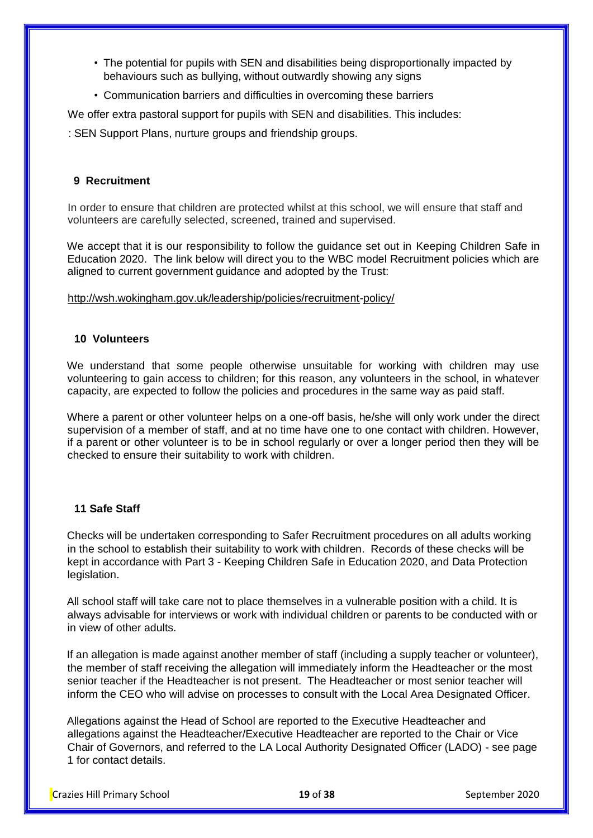- The potential for pupils with SEN and disabilities being disproportionally impacted by behaviours such as bullying, without outwardly showing any signs
- Communication barriers and difficulties in overcoming these barriers

We offer extra pastoral support for pupils with SEN and disabilities. This includes:

: SEN Support Plans, nurture groups and friendship groups.

#### **9 Recruitment**

In order to ensure that children are protected whilst at this school, we will ensure that staff and volunteers are carefully selected, screened, trained and supervised.

We accept that it is our responsibility to follow the guidance set out in Keeping Children Safe in Education 2020. The link below will direct you to the WBC model Recruitment policies which are aligned to current government guidance and adopted by the Trust:

<http://wsh.wokingham.gov.uk/leadership/policies/recruitment-policy/>

#### **10 Volunteers**

We understand that some people otherwise unsuitable for working with children may use volunteering to gain access to children; for this reason, any volunteers in the school, in whatever capacity, are expected to follow the policies and procedures in the same way as paid staff.

Where a parent or other volunteer helps on a one-off basis, he/she will only work under the direct supervision of a member of staff, and at no time have one to one contact with children. However, if a parent or other volunteer is to be in school regularly or over a longer period then they will be checked to ensure their suitability to work with children.

#### **11 Safe Staff**

Checks will be undertaken corresponding to Safer Recruitment procedures on all adults working in the school to establish their suitability to work with children. Records of these checks will be kept in accordance with Part 3 - Keeping Children Safe in Education 2020, and Data Protection legislation.

All school staff will take care not to place themselves in a vulnerable position with a child. It is always advisable for interviews or work with individual children or parents to be conducted with or in view of other adults.

If an allegation is made against another member of staff (including a supply teacher or volunteer), the member of staff receiving the allegation will immediately inform the Headteacher or the most senior teacher if the Headteacher is not present. The Headteacher or most senior teacher will inform the CEO who will advise on processes to consult with the Local Area Designated Officer.

Allegations against the Head of School are reported to the Executive Headteacher and allegations against the Headteacher/Executive Headteacher are reported to the Chair or Vice Chair of Governors, and referred to the LA Local Authority Designated Officer (LADO) - see page 1 for contact details.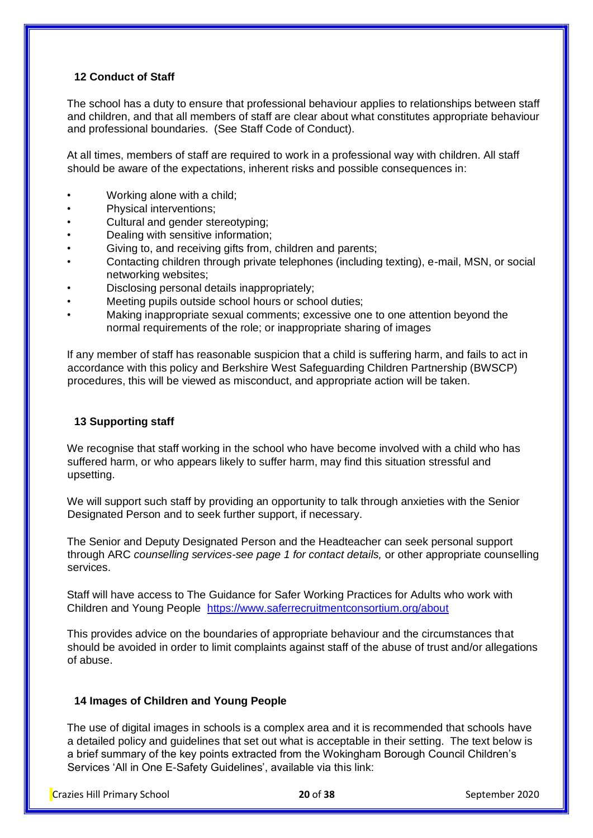# **12 Conduct of Staff**

The school has a duty to ensure that professional behaviour applies to relationships between staff and children, and that all members of staff are clear about what constitutes appropriate behaviour and professional boundaries. (See Staff Code of Conduct).

At all times, members of staff are required to work in a professional way with children. All staff should be aware of the expectations, inherent risks and possible consequences in:

- Working alone with a child;
- Physical interventions;
- Cultural and gender stereotyping;
- Dealing with sensitive information;
- Giving to, and receiving gifts from, children and parents;
- Contacting children through private telephones (including texting), e-mail, MSN, or social networking websites;
- Disclosing personal details inappropriately;
- Meeting pupils outside school hours or school duties:
- Making inappropriate sexual comments; excessive one to one attention beyond the normal requirements of the role; or inappropriate sharing of images

If any member of staff has reasonable suspicion that a child is suffering harm, and fails to act in accordance with this policy and Berkshire West Safeguarding Children Partnership (BWSCP) procedures, this will be viewed as misconduct, and appropriate action will be taken.

#### **13 Supporting staff**

We recognise that staff working in the school who have become involved with a child who has suffered harm, or who appears likely to suffer harm, may find this situation stressful and upsetting.

We will support such staff by providing an opportunity to talk through anxieties with the Senior Designated Person and to seek further support, if necessary.

The Senior and Deputy Designated Person and the Headteacher can seek personal support through ARC *counselling services-see page 1 for contact details,* or other appropriate counselling services.

Staff will have access to The Guidance for Safer Working Practices for Adults who work with Children and Young People <https://www.saferrecruitmentconsortium.org/about>

This provides advice on the boundaries of appropriate behaviour and the circumstances that should be avoided in order to limit complaints against staff of the abuse of trust and/or allegations of abuse.

#### **14 Images of Children and Young People**

The use of digital images in schools is a complex area and it is recommended that schools have a detailed policy and guidelines that set out what is acceptable in their setting. The text below is a brief summary of the key points extracted from the Wokingham Borough Council Children's Services 'All in One E-Safety Guidelines', available via this link: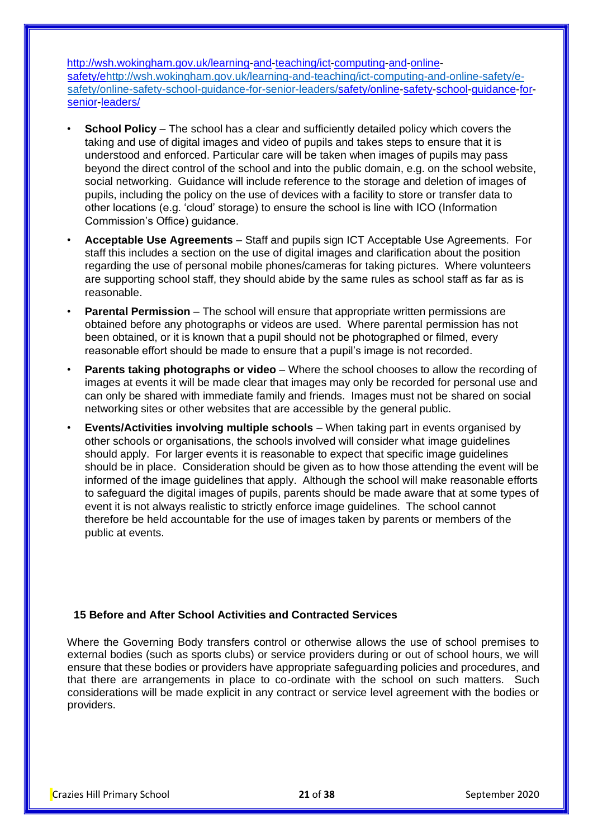[http://wsh.wokingham.gov.uk/learning-and-teaching/ict-computing-and-online](http://wsh.wokingham.gov.uk/learning-and-teaching/ict-computing-and-online-safety/e-safety/online-safety-school-guidance-for-senior-leaders/)[safety/ehttp://wsh.wokingham.gov.uk/learning-and-teaching/ict-computing-and-online-safety/e](http://wsh.wokingham.gov.uk/learning-and-teaching/ict-computing-and-online-safety/e-safety/online-safety-school-guidance-for-senior-leaders/)[safety/online-safety-school-guidance-for-senior-leaders/safety/online-safety-school-guidance-for](http://wsh.wokingham.gov.uk/learning-and-teaching/ict-computing-and-online-safety/e-safety/online-safety-school-guidance-for-senior-leaders/)[senior-leaders/](http://wsh.wokingham.gov.uk/learning-and-teaching/ict-computing-and-online-safety/e-safety/online-safety-school-guidance-for-senior-leaders/)

- **School Policy**  The school has a clear and sufficiently detailed policy which covers the taking and use of digital images and video of pupils and takes steps to ensure that it is understood and enforced. Particular care will be taken when images of pupils may pass beyond the direct control of the school and into the public domain, e.g. on the school website, social networking. Guidance will include reference to the storage and deletion of images of pupils, including the policy on the use of devices with a facility to store or transfer data to other locations (e.g. 'cloud' storage) to ensure the school is line with ICO (Information Commission's Office) guidance.
- **Acceptable Use Agreements**  Staff and pupils sign ICT Acceptable Use Agreements. For staff this includes a section on the use of digital images and clarification about the position regarding the use of personal mobile phones/cameras for taking pictures. Where volunteers are supporting school staff, they should abide by the same rules as school staff as far as is reasonable.
- **Parental Permission** The school will ensure that appropriate written permissions are obtained before any photographs or videos are used. Where parental permission has not been obtained, or it is known that a pupil should not be photographed or filmed, every reasonable effort should be made to ensure that a pupil's image is not recorded.
- **Parents taking photographs or video**  Where the school chooses to allow the recording of images at events it will be made clear that images may only be recorded for personal use and can only be shared with immediate family and friends. Images must not be shared on social networking sites or other websites that are accessible by the general public.
- **Events/Activities involving multiple schools**  When taking part in events organised by other schools or organisations, the schools involved will consider what image guidelines should apply. For larger events it is reasonable to expect that specific image guidelines should be in place. Consideration should be given as to how those attending the event will be informed of the image guidelines that apply. Although the school will make reasonable efforts to safeguard the digital images of pupils, parents should be made aware that at some types of event it is not always realistic to strictly enforce image guidelines. The school cannot therefore be held accountable for the use of images taken by parents or members of the public at events.

#### **15 Before and After School Activities and Contracted Services**

Where the Governing Body transfers control or otherwise allows the use of school premises to external bodies (such as sports clubs) or service providers during or out of school hours, we will ensure that these bodies or providers have appropriate safeguarding policies and procedures, and that there are arrangements in place to co-ordinate with the school on such matters. Such considerations will be made explicit in any contract or service level agreement with the bodies or providers.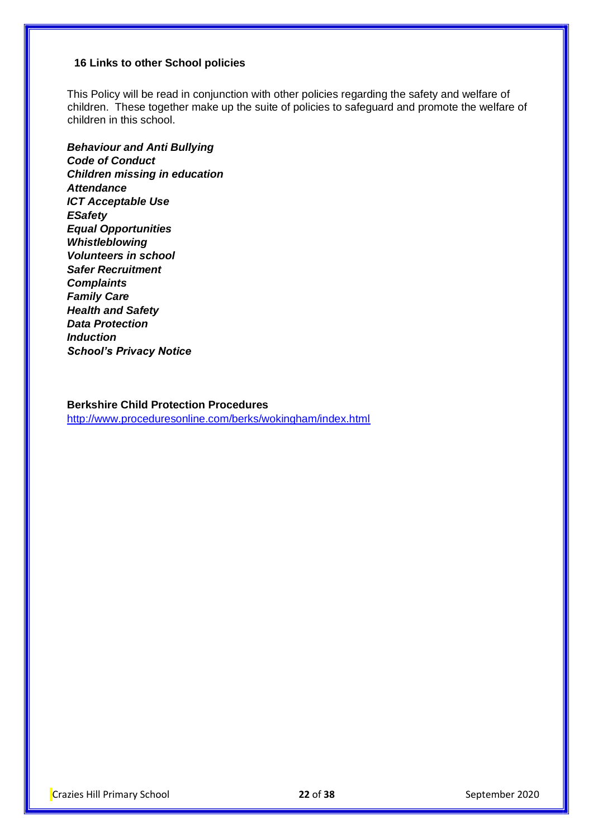#### **16 Links to other School policies**

This Policy will be read in conjunction with other policies regarding the safety and welfare of children. These together make up the suite of policies to safeguard and promote the welfare of children in this school.

*Behaviour and Anti Bullying Code of Conduct Children missing in education Attendance ICT Acceptable Use ESafety Equal Opportunities Whistleblowing Volunteers in school Safer Recruitment Complaints Family Care Health and Safety Data Protection Induction School's Privacy Notice* 

### **Berkshire Child Protection Procedures**

<http://www.proceduresonline.com/berks/wokingham/index.html>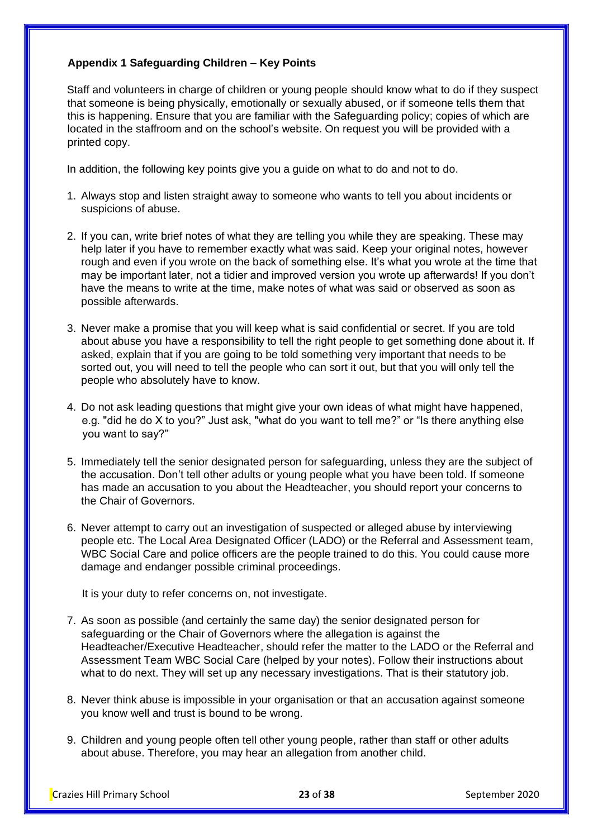# **Appendix 1 Safeguarding Children – Key Points**

Staff and volunteers in charge of children or young people should know what to do if they suspect that someone is being physically, emotionally or sexually abused, or if someone tells them that this is happening. Ensure that you are familiar with the Safeguarding policy; copies of which are located in the staffroom and on the school's website. On request you will be provided with a printed copy.

In addition, the following key points give you a guide on what to do and not to do.

- 1. Always stop and listen straight away to someone who wants to tell you about incidents or suspicions of abuse.
- 2. If you can, write brief notes of what they are telling you while they are speaking. These may help later if you have to remember exactly what was said. Keep your original notes, however rough and even if you wrote on the back of something else. It's what you wrote at the time that may be important later, not a tidier and improved version you wrote up afterwards! If you don't have the means to write at the time, make notes of what was said or observed as soon as possible afterwards.
- 3. Never make a promise that you will keep what is said confidential or secret. If you are told about abuse you have a responsibility to tell the right people to get something done about it. If asked, explain that if you are going to be told something very important that needs to be sorted out, you will need to tell the people who can sort it out, but that you will only tell the people who absolutely have to know.
- 4. Do not ask leading questions that might give your own ideas of what might have happened, e.g. "did he do X to you?" Just ask, "what do you want to tell me?" or "Is there anything else you want to say?"
- 5. Immediately tell the senior designated person for safeguarding, unless they are the subject of the accusation. Don't tell other adults or young people what you have been told. If someone has made an accusation to you about the Headteacher, you should report your concerns to the Chair of Governors.
- 6. Never attempt to carry out an investigation of suspected or alleged abuse by interviewing people etc. The Local Area Designated Officer (LADO) or the Referral and Assessment team, WBC Social Care and police officers are the people trained to do this. You could cause more damage and endanger possible criminal proceedings.

It is your duty to refer concerns on, not investigate.

- 7. As soon as possible (and certainly the same day) the senior designated person for safeguarding or the Chair of Governors where the allegation is against the Headteacher/Executive Headteacher, should refer the matter to the LADO or the Referral and Assessment Team WBC Social Care (helped by your notes). Follow their instructions about what to do next. They will set up any necessary investigations. That is their statutory job.
- 8. Never think abuse is impossible in your organisation or that an accusation against someone you know well and trust is bound to be wrong.
- 9. Children and young people often tell other young people, rather than staff or other adults about abuse. Therefore, you may hear an allegation from another child.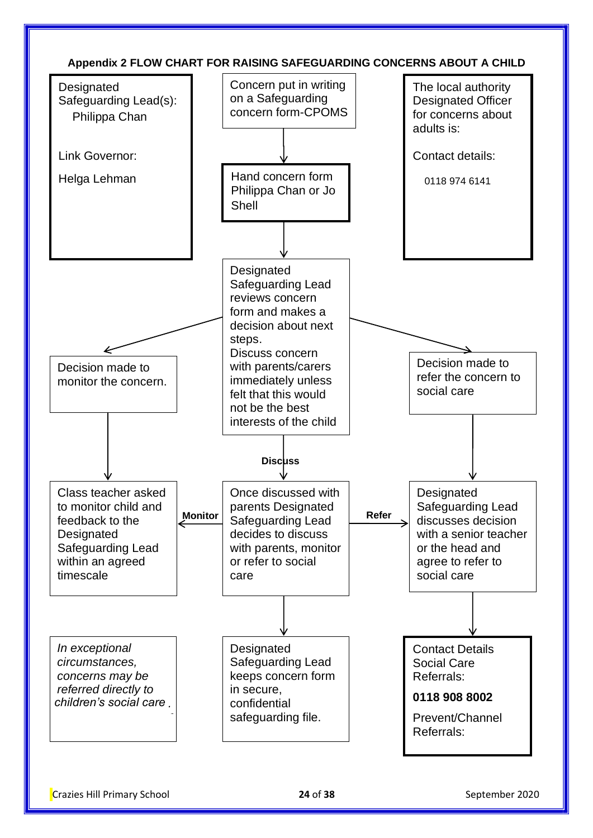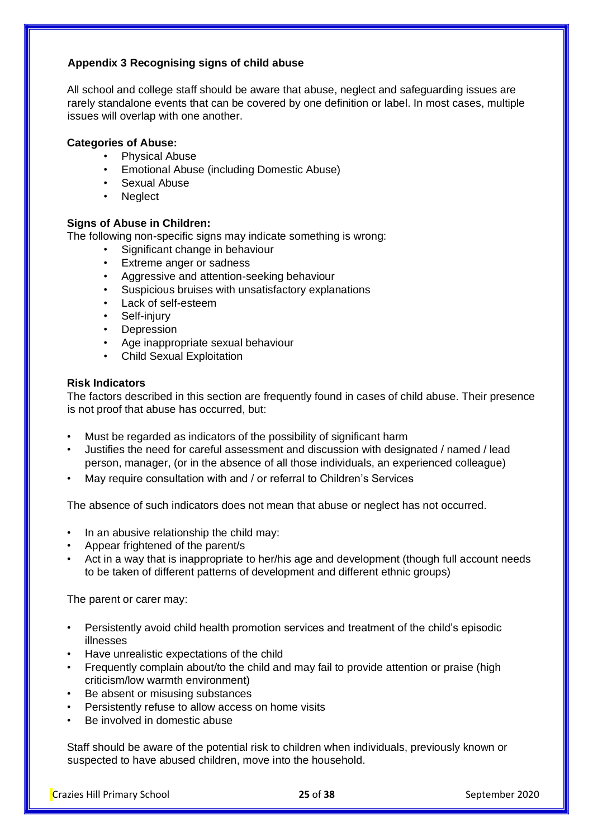# **Appendix 3 Recognising signs of child abuse**

All school and college staff should be aware that abuse, neglect and safeguarding issues are rarely standalone events that can be covered by one definition or label. In most cases, multiple issues will overlap with one another.

# **Categories of Abuse:**

- Physical Abuse
- Emotional Abuse (including Domestic Abuse)
- Sexual Abuse
- Neglect

#### **Signs of Abuse in Children:**

The following non-specific signs may indicate something is wrong:

- Significant change in behaviour
- Extreme anger or sadness
- Aggressive and attention-seeking behaviour
- Suspicious bruises with unsatisfactory explanations
- Lack of self-esteem
- Self-injury
- **Depression**
- Age inappropriate sexual behaviour
- Child Sexual Exploitation

#### **Risk Indicators**

The factors described in this section are frequently found in cases of child abuse. Their presence is not proof that abuse has occurred, but:

- Must be regarded as indicators of the possibility of significant harm
- Justifies the need for careful assessment and discussion with designated / named / lead person, manager, (or in the absence of all those individuals, an experienced colleague)
- May require consultation with and / or referral to Children's Services

The absence of such indicators does not mean that abuse or neglect has not occurred.

- In an abusive relationship the child may:
- Appear frightened of the parent/s
- Act in a way that is inappropriate to her/his age and development (though full account needs to be taken of different patterns of development and different ethnic groups)

The parent or carer may:

- Persistently avoid child health promotion services and treatment of the child's episodic illnesses
- Have unrealistic expectations of the child
- Frequently complain about/to the child and may fail to provide attention or praise (high criticism/low warmth environment)
- Be absent or misusing substances
- Persistently refuse to allow access on home visits
- Be involved in domestic abuse

Staff should be aware of the potential risk to children when individuals, previously known or suspected to have abused children, move into the household.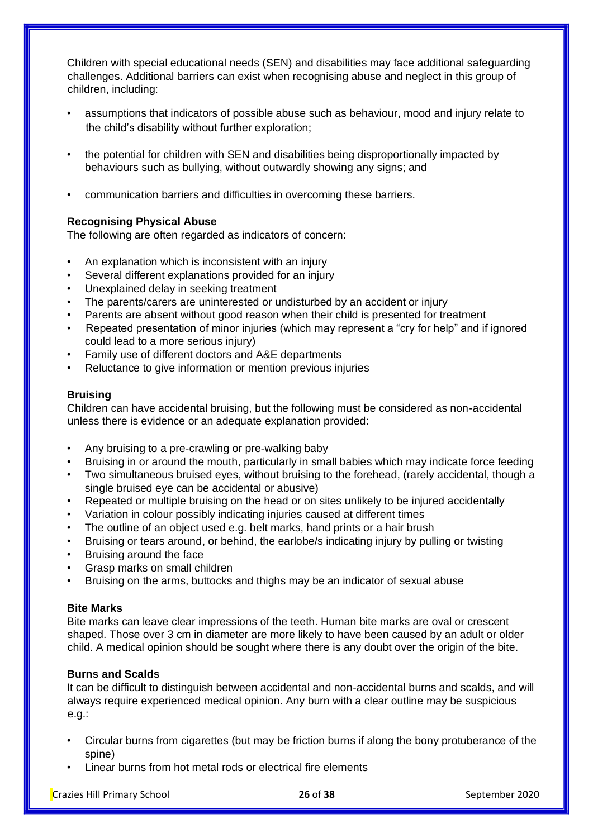Children with special educational needs (SEN) and disabilities may face additional safeguarding challenges. Additional barriers can exist when recognising abuse and neglect in this group of children, including:

- assumptions that indicators of possible abuse such as behaviour, mood and injury relate to the child's disability without further exploration;
- the potential for children with SEN and disabilities being disproportionally impacted by behaviours such as bullying, without outwardly showing any signs; and
- communication barriers and difficulties in overcoming these barriers.

# **Recognising Physical Abuse**

The following are often regarded as indicators of concern:

- An explanation which is inconsistent with an injury
- Several different explanations provided for an injury
- Unexplained delay in seeking treatment
- The parents/carers are uninterested or undisturbed by an accident or injury
- Parents are absent without good reason when their child is presented for treatment
- Repeated presentation of minor injuries (which may represent a "cry for help" and if ignored could lead to a more serious injury)
- Family use of different doctors and A&E departments
- Reluctance to give information or mention previous injuries

#### **Bruising**

Children can have accidental bruising, but the following must be considered as non-accidental unless there is evidence or an adequate explanation provided:

- Any bruising to a pre-crawling or pre-walking baby
- Bruising in or around the mouth, particularly in small babies which may indicate force feeding
- Two simultaneous bruised eyes, without bruising to the forehead, (rarely accidental, though a single bruised eye can be accidental or abusive)
- Repeated or multiple bruising on the head or on sites unlikely to be injured accidentally
- Variation in colour possibly indicating injuries caused at different times
- The outline of an object used e.g. belt marks, hand prints or a hair brush
- Bruising or tears around, or behind, the earlobe/s indicating injury by pulling or twisting
- Bruising around the face
- Grasp marks on small children
- Bruising on the arms, buttocks and thighs may be an indicator of sexual abuse

### **Bite Marks**

Bite marks can leave clear impressions of the teeth. Human bite marks are oval or crescent shaped. Those over 3 cm in diameter are more likely to have been caused by an adult or older child. A medical opinion should be sought where there is any doubt over the origin of the bite.

#### **Burns and Scalds**

It can be difficult to distinguish between accidental and non-accidental burns and scalds, and will always require experienced medical opinion. Any burn with a clear outline may be suspicious e.g.:

- Circular burns from cigarettes (but may be friction burns if along the bony protuberance of the spine)
- Linear burns from hot metal rods or electrical fire elements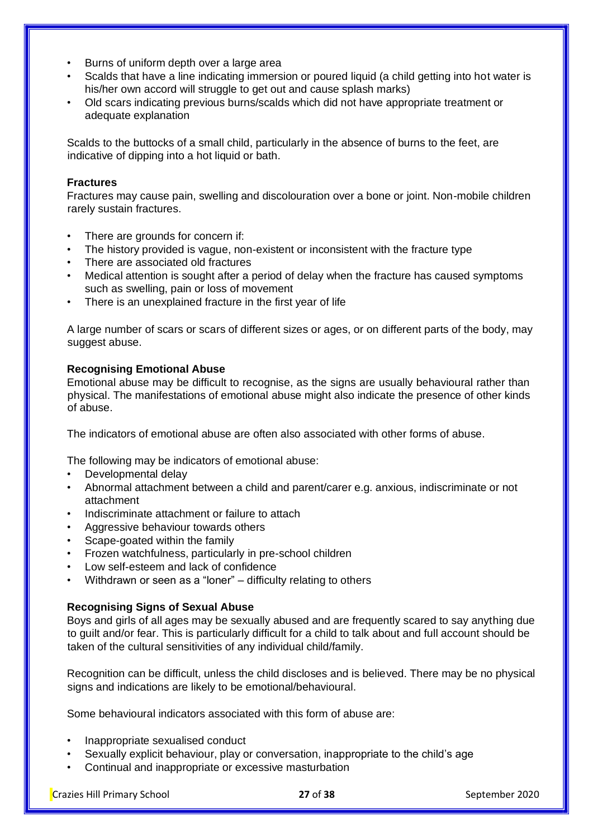- Burns of uniform depth over a large area
- Scalds that have a line indicating immersion or poured liquid (a child getting into hot water is his/her own accord will struggle to get out and cause splash marks)
- Old scars indicating previous burns/scalds which did not have appropriate treatment or adequate explanation

Scalds to the buttocks of a small child, particularly in the absence of burns to the feet, are indicative of dipping into a hot liquid or bath.

#### **Fractures**

Fractures may cause pain, swelling and discolouration over a bone or joint. Non-mobile children rarely sustain fractures.

- There are grounds for concern if:
- The history provided is vague, non-existent or inconsistent with the fracture type
- There are associated old fractures
- Medical attention is sought after a period of delay when the fracture has caused symptoms such as swelling, pain or loss of movement
- There is an unexplained fracture in the first year of life

A large number of scars or scars of different sizes or ages, or on different parts of the body, may suggest abuse.

## **Recognising Emotional Abuse**

Emotional abuse may be difficult to recognise, as the signs are usually behavioural rather than physical. The manifestations of emotional abuse might also indicate the presence of other kinds of abuse.

The indicators of emotional abuse are often also associated with other forms of abuse.

The following may be indicators of emotional abuse:

- Developmental delay
- Abnormal attachment between a child and parent/carer e.g. anxious, indiscriminate or not attachment
- Indiscriminate attachment or failure to attach
- Aggressive behaviour towards others
- Scape-goated within the family
- Frozen watchfulness, particularly in pre-school children
- Low self-esteem and lack of confidence
- Withdrawn or seen as a "loner" difficulty relating to others

#### **Recognising Signs of Sexual Abuse**

Boys and girls of all ages may be sexually abused and are frequently scared to say anything due to guilt and/or fear. This is particularly difficult for a child to talk about and full account should be taken of the cultural sensitivities of any individual child/family.

Recognition can be difficult, unless the child discloses and is believed. There may be no physical signs and indications are likely to be emotional/behavioural.

Some behavioural indicators associated with this form of abuse are:

- Inappropriate sexualised conduct
- Sexually explicit behaviour, play or conversation, inappropriate to the child's age
- Continual and inappropriate or excessive masturbation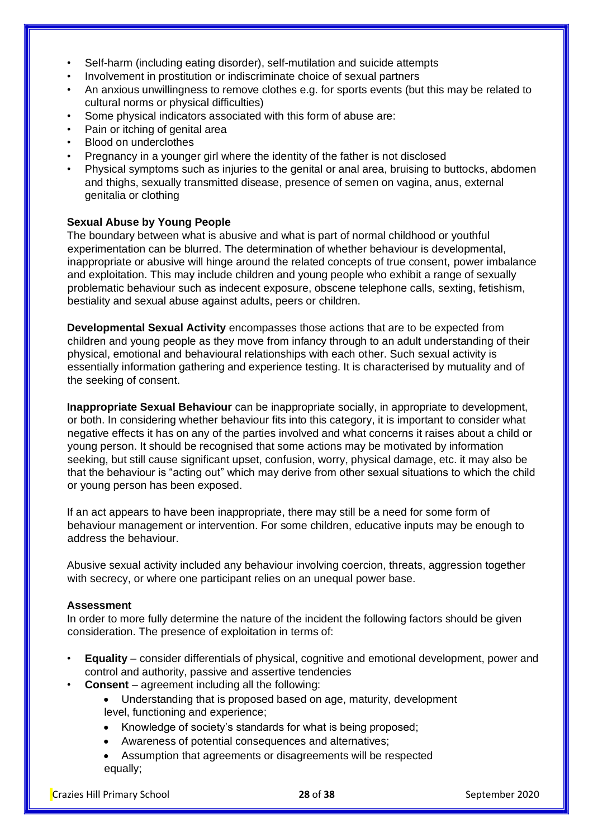- Self-harm (including eating disorder), self-mutilation and suicide attempts
- Involvement in prostitution or indiscriminate choice of sexual partners
- An anxious unwillingness to remove clothes e.g. for sports events (but this may be related to cultural norms or physical difficulties)
- Some physical indicators associated with this form of abuse are:
- Pain or itching of genital area
- Blood on underclothes
- Pregnancy in a younger girl where the identity of the father is not disclosed
- Physical symptoms such as injuries to the genital or anal area, bruising to buttocks, abdomen and thighs, sexually transmitted disease, presence of semen on vagina, anus, external genitalia or clothing

#### **Sexual Abuse by Young People**

The boundary between what is abusive and what is part of normal childhood or youthful experimentation can be blurred. The determination of whether behaviour is developmental, inappropriate or abusive will hinge around the related concepts of true consent, power imbalance and exploitation. This may include children and young people who exhibit a range of sexually problematic behaviour such as indecent exposure, obscene telephone calls, sexting, fetishism, bestiality and sexual abuse against adults, peers or children.

**Developmental Sexual Activity** encompasses those actions that are to be expected from children and young people as they move from infancy through to an adult understanding of their physical, emotional and behavioural relationships with each other. Such sexual activity is essentially information gathering and experience testing. It is characterised by mutuality and of the seeking of consent.

**Inappropriate Sexual Behaviour** can be inappropriate socially, in appropriate to development, or both. In considering whether behaviour fits into this category, it is important to consider what negative effects it has on any of the parties involved and what concerns it raises about a child or young person. It should be recognised that some actions may be motivated by information seeking, but still cause significant upset, confusion, worry, physical damage, etc. it may also be that the behaviour is "acting out" which may derive from other sexual situations to which the child or young person has been exposed.

If an act appears to have been inappropriate, there may still be a need for some form of behaviour management or intervention. For some children, educative inputs may be enough to address the behaviour.

Abusive sexual activity included any behaviour involving coercion, threats, aggression together with secrecy, or where one participant relies on an unequal power base.

#### **Assessment**

In order to more fully determine the nature of the incident the following factors should be given consideration. The presence of exploitation in terms of:

- **Equality**  consider differentials of physical, cognitive and emotional development, power and control and authority, passive and assertive tendencies
- **Consent**  agreement including all the following:
	- Understanding that is proposed based on age, maturity, development level, functioning and experience;
	- Knowledge of society's standards for what is being proposed;
	- Awareness of potential consequences and alternatives;
	- Assumption that agreements or disagreements will be respected equally;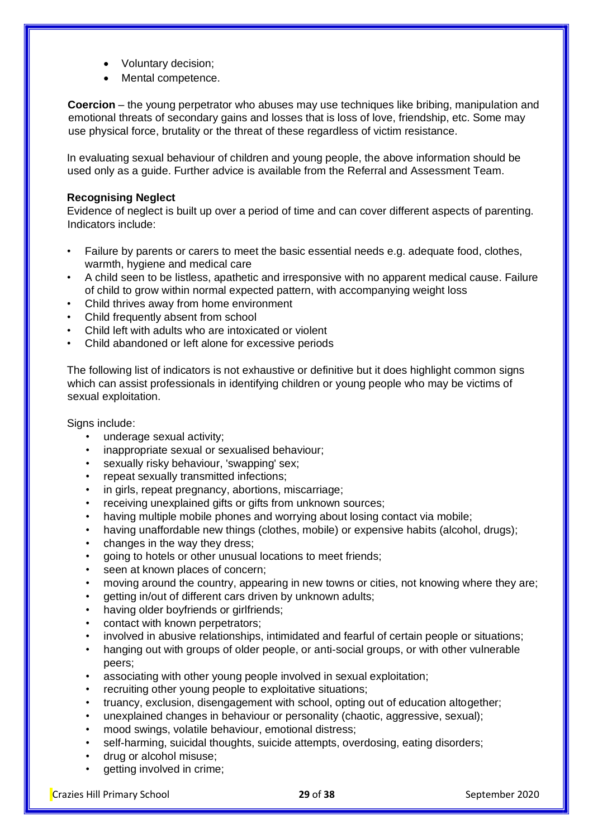- Voluntary decision;
- Mental competence.

**Coercion** – the young perpetrator who abuses may use techniques like bribing, manipulation and emotional threats of secondary gains and losses that is loss of love, friendship, etc. Some may use physical force, brutality or the threat of these regardless of victim resistance.

In evaluating sexual behaviour of children and young people, the above information should be used only as a guide. Further advice is available from the Referral and Assessment Team.

#### **Recognising Neglect**

Evidence of neglect is built up over a period of time and can cover different aspects of parenting. Indicators include:

- Failure by parents or carers to meet the basic essential needs e.g. adequate food, clothes, warmth, hygiene and medical care
- A child seen to be listless, apathetic and irresponsive with no apparent medical cause. Failure of child to grow within normal expected pattern, with accompanying weight loss
- Child thrives away from home environment
- Child frequently absent from school
- Child left with adults who are intoxicated or violent
- Child abandoned or left alone for excessive periods

The following list of indicators is not exhaustive or definitive but it does highlight common signs which can assist professionals in identifying children or young people who may be victims of sexual exploitation.

Signs include:

- underage sexual activity;
- inappropriate sexual or sexualised behaviour;
- sexually risky behaviour, 'swapping' sex;
- repeat sexually transmitted infections;
- in girls, repeat pregnancy, abortions, miscarriage;
- receiving unexplained gifts or gifts from unknown sources;
- having multiple mobile phones and worrying about losing contact via mobile;
- having unaffordable new things (clothes, mobile) or expensive habits (alcohol, drugs);
- changes in the way they dress;
- going to hotels or other unusual locations to meet friends;
- seen at known places of concern;
- moving around the country, appearing in new towns or cities, not knowing where they are;
- getting in/out of different cars driven by unknown adults;
- having older boyfriends or girlfriends;
- contact with known perpetrators;
- involved in abusive relationships, intimidated and fearful of certain people or situations;
- hanging out with groups of older people, or anti-social groups, or with other vulnerable peers;
- associating with other young people involved in sexual exploitation;
- recruiting other young people to exploitative situations;
- truancy, exclusion, disengagement with school, opting out of education altogether;
- unexplained changes in behaviour or personality (chaotic, aggressive, sexual);
- mood swings, volatile behaviour, emotional distress;
- self-harming, suicidal thoughts, suicide attempts, overdosing, eating disorders;
- drug or alcohol misuse;
- getting involved in crime;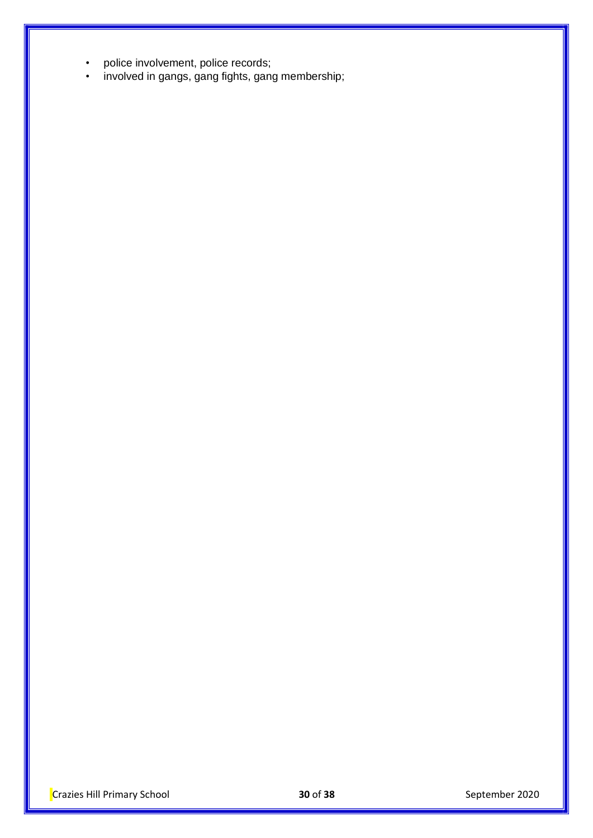- police involvement, police records;
- involved in gangs, gang fights, gang membership;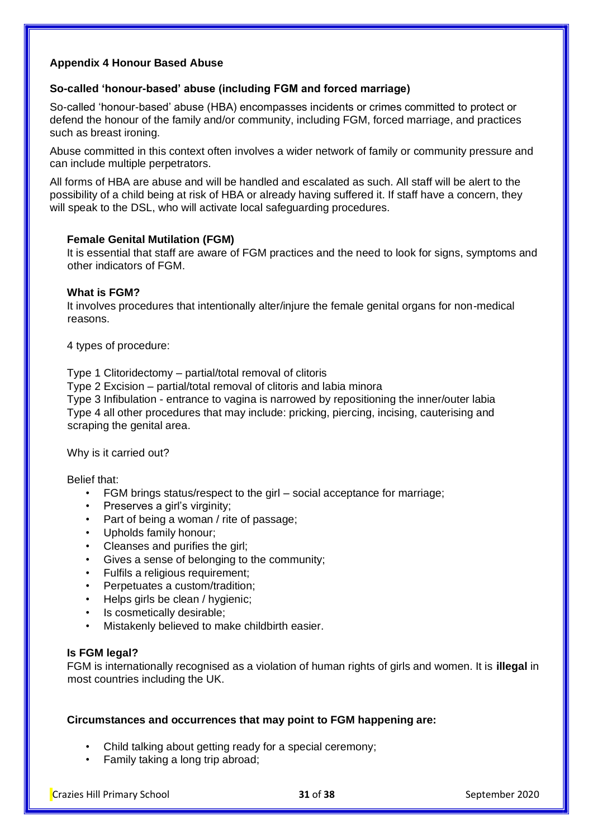#### **Appendix 4 Honour Based Abuse**

#### **So-called 'honour-based' abuse (including FGM and forced marriage)**

So-called 'honour-based' abuse (HBA) encompasses incidents or crimes committed to protect or defend the honour of the family and/or community, including FGM, forced marriage, and practices such as breast ironing.

Abuse committed in this context often involves a wider network of family or community pressure and can include multiple perpetrators.

All forms of HBA are abuse and will be handled and escalated as such. All staff will be alert to the possibility of a child being at risk of HBA or already having suffered it. If staff have a concern, they will speak to the DSL, who will activate local safeguarding procedures.

#### **Female Genital Mutilation (FGM)**

It is essential that staff are aware of FGM practices and the need to look for signs, symptoms and other indicators of FGM.

#### **What is FGM?**

It involves procedures that intentionally alter/injure the female genital organs for non-medical reasons.

4 types of procedure:

Type 1 Clitoridectomy – partial/total removal of clitoris

Type 2 Excision – partial/total removal of clitoris and labia minora

Type 3 Infibulation - entrance to vagina is narrowed by repositioning the inner/outer labia Type 4 all other procedures that may include: pricking, piercing, incising, cauterising and scraping the genital area.

Why is it carried out?

Belief that:

- FGM brings status/respect to the girl social acceptance for marriage;
- Preserves a girl's virginity;
- Part of being a woman / rite of passage:
- Upholds family honour;
- Cleanses and purifies the girl;
- Gives a sense of belonging to the community;
- Fulfils a religious requirement;
- Perpetuates a custom/tradition;
- Helps girls be clean / hygienic;
- Is cosmetically desirable;
- Mistakenly believed to make childbirth easier.

#### **Is FGM legal?**

FGM is internationally recognised as a violation of human rights of girls and women. It is **illegal** in most countries including the UK.

#### **Circumstances and occurrences that may point to FGM happening are:**

- Child talking about getting ready for a special ceremony;
- Family taking a long trip abroad;

Crazies Hill Primary School **31** of **38** September 2020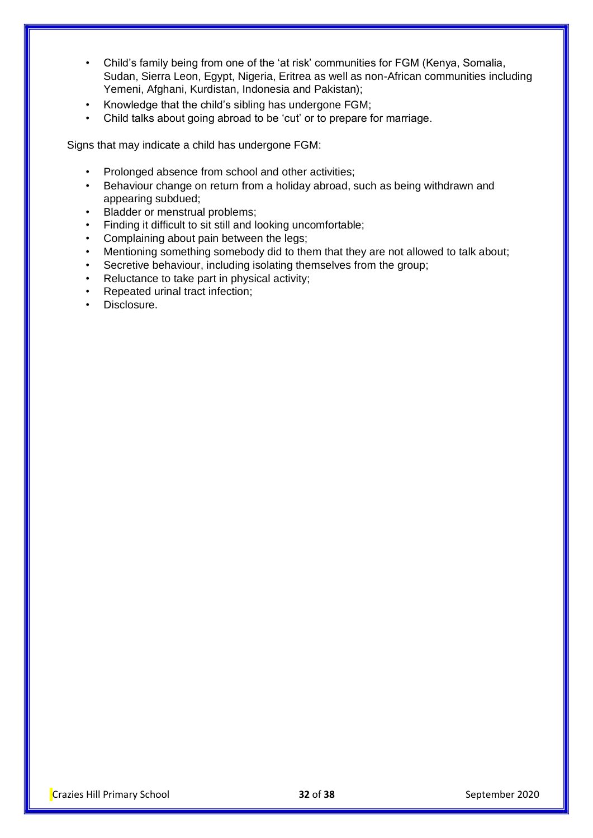- Child's family being from one of the 'at risk' communities for FGM (Kenya, Somalia, Sudan, Sierra Leon, Egypt, Nigeria, Eritrea as well as non-African communities including Yemeni, Afghani, Kurdistan, Indonesia and Pakistan);
- Knowledge that the child's sibling has undergone FGM;
- Child talks about going abroad to be 'cut' or to prepare for marriage.

Signs that may indicate a child has undergone FGM:

- Prolonged absence from school and other activities;
- Behaviour change on return from a holiday abroad, such as being withdrawn and appearing subdued;
- Bladder or menstrual problems;
- Finding it difficult to sit still and looking uncomfortable;
- Complaining about pain between the legs;
- Mentioning something somebody did to them that they are not allowed to talk about;
- Secretive behaviour, including isolating themselves from the group;
- Reluctance to take part in physical activity;
- Repeated urinal tract infection;
- Disclosure.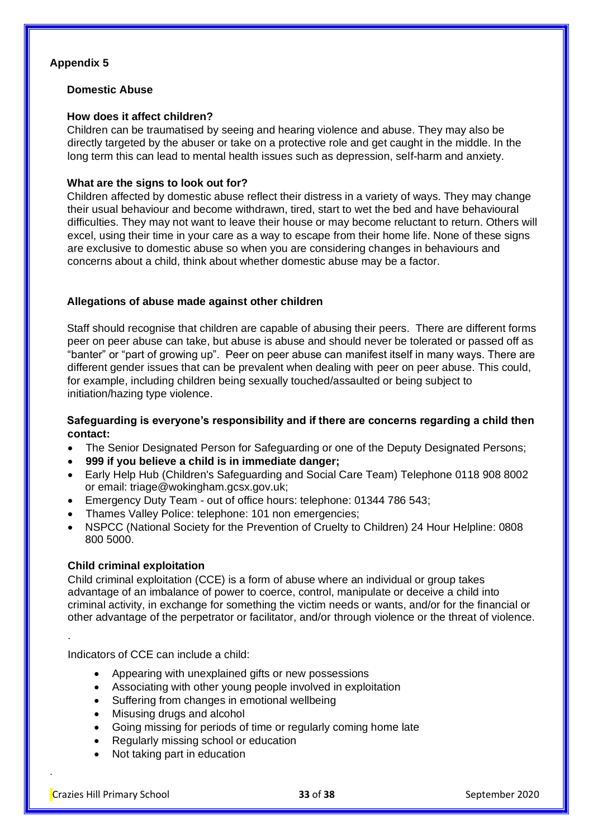#### **Appendix 5**

#### **Domestic Abuse**

#### **How does it affect children?**

Children can be traumatised by seeing and hearing violence and abuse. They may also be directly targeted by the abuser or take on a protective role and get caught in the middle. In the long term this can lead to mental health issues such as depression, self-harm and anxiety.

#### **What are the signs to look out for?**

Children affected by domestic abuse reflect their distress in a variety of ways. They may change their usual behaviour and become withdrawn, tired, start to wet the bed and have behavioural difficulties. They may not want to leave their house or may become reluctant to return. Others will excel, using their time in your care as a way to escape from their home life. None of these signs are exclusive to domestic abuse so when you are considering changes in behaviours and concerns about a child, think about whether domestic abuse may be a factor.

#### **Allegations of abuse made against other children**

Staff should recognise that children are capable of abusing their peers. There are different forms peer on peer abuse can take, but abuse is abuse and should never be tolerated or passed off as "banter" or "part of growing up". Peer on peer abuse can manifest itself in many ways. There are different gender issues that can be prevalent when dealing with peer on peer abuse. This could, for example, including children being sexually touched/assaulted or being subject to initiation/hazing type violence.

#### **Safeguarding is everyone's responsibility and if there are concerns regarding a child then contact:**

- The Senior Designated Person for Safeguarding or one of the Deputy Designated Persons;
- **999 if you believe a child is in immediate danger;**
- Early Help Hub (Children's Safeguarding and Social Care Team) Telephone 0118 908 8002 or email: triage@wokingham.gcsx.gov.uk;
- Emergency Duty Team out of office hours: telephone: 01344 786 543;
- Thames Valley Police: telephone: 101 non emergencies;
- NSPCC (National Society for the Prevention of Cruelty to Children) 24 Hour Helpline: 0808 800 5000.

#### **Child criminal exploitation**

Child criminal exploitation (CCE) is a form of abuse where an individual or group takes advantage of an imbalance of power to coerce, control, manipulate or deceive a child into criminal activity, in exchange for something the victim needs or wants, and/or for the financial or other advantage of the perpetrator or facilitator, and/or through violence or the threat of violence.

Indicators of CCE can include a child:

- Appearing with unexplained gifts or new possessions
- Associating with other young people involved in exploitation
- Suffering from changes in emotional wellbeing
- Misusing drugs and alcohol
- Going missing for periods of time or regularly coming home late
- Regularly missing school or education
- Not taking part in education

.

.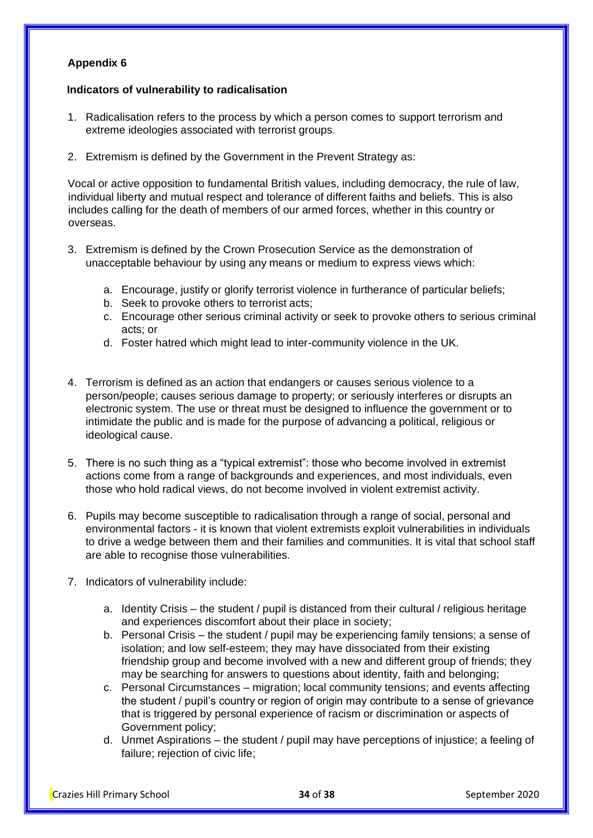#### **Appendix 6**

#### **Indicators of vulnerability to radicalisation**

- 1. Radicalisation refers to the process by which a person comes to support terrorism and extreme ideologies associated with terrorist groups.
- 2. Extremism is defined by the Government in the Prevent Strategy as:

Vocal or active opposition to fundamental British values, including democracy, the rule of law, individual liberty and mutual respect and tolerance of different faiths and beliefs. This is also includes calling for the death of members of our armed forces, whether in this country or overseas.

- 3. Extremism is defined by the Crown Prosecution Service as the demonstration of unacceptable behaviour by using any means or medium to express views which:
	- a. Encourage, justify or glorify terrorist violence in furtherance of particular beliefs;
	- b. Seek to provoke others to terrorist acts;
	- c. Encourage other serious criminal activity or seek to provoke others to serious criminal acts; or
	- d. Foster hatred which might lead to inter-community violence in the UK.
- 4. Terrorism is defined as an action that endangers or causes serious violence to a person/people; causes serious damage to property; or seriously interferes or disrupts an electronic system. The use or threat must be designed to influence the government or to intimidate the public and is made for the purpose of advancing a political, religious or ideological cause.
- 5. There is no such thing as a "typical extremist": those who become involved in extremist actions come from a range of backgrounds and experiences, and most individuals, even those who hold radical views, do not become involved in violent extremist activity.
- 6. Pupils may become susceptible to radicalisation through a range of social, personal and environmental factors - it is known that violent extremists exploit vulnerabilities in individuals to drive a wedge between them and their families and communities. It is vital that school staff are able to recognise those vulnerabilities.
- 7. Indicators of vulnerability include:
	- a. Identity Crisis the student / pupil is distanced from their cultural / religious heritage and experiences discomfort about their place in society;
	- b. Personal Crisis the student / pupil may be experiencing family tensions; a sense of isolation; and low self-esteem; they may have dissociated from their existing friendship group and become involved with a new and different group of friends; they may be searching for answers to questions about identity, faith and belonging;
	- c. Personal Circumstances migration; local community tensions; and events affecting the student / pupil's country or region of origin may contribute to a sense of grievance that is triggered by personal experience of racism or discrimination or aspects of Government policy;
	- d. Unmet Aspirations the student / pupil may have perceptions of injustice; a feeling of failure; rejection of civic life;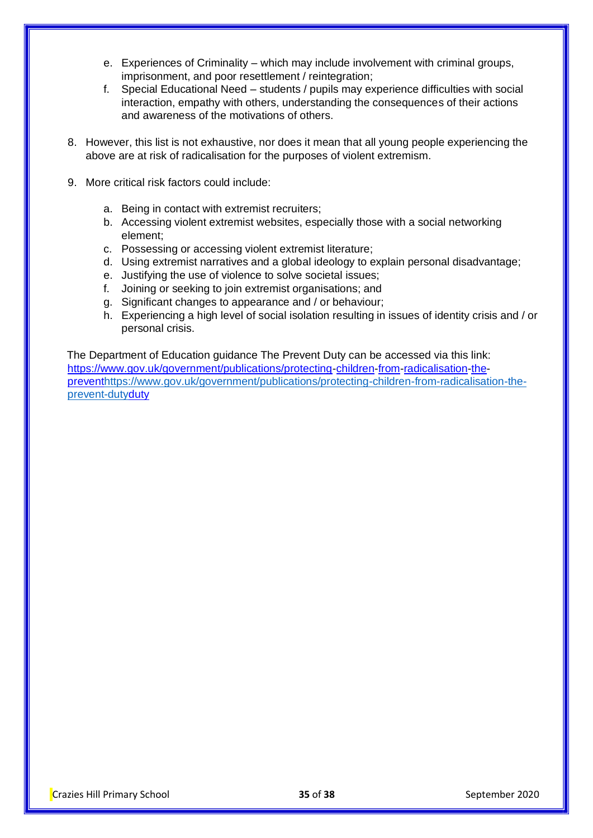- e. Experiences of Criminality which may include involvement with criminal groups, imprisonment, and poor resettlement / reintegration;
- f. Special Educational Need students / pupils may experience difficulties with social interaction, empathy with others, understanding the consequences of their actions and awareness of the motivations of others.
- 8. However, this list is not exhaustive, nor does it mean that all young people experiencing the above are at risk of radicalisation for the purposes of violent extremism.
- 9. More critical risk factors could include:
	- a. Being in contact with extremist recruiters;
	- b. Accessing violent extremist websites, especially those with a social networking element;
	- c. Possessing or accessing violent extremist literature;
	- d. Using extremist narratives and a global ideology to explain personal disadvantage;
	- e. Justifying the use of violence to solve societal issues;
	- f. Joining or seeking to join extremist organisations; and
	- g. Significant changes to appearance and / or behaviour;
	- h. Experiencing a high level of social isolation resulting in issues of identity crisis and / or personal crisis.

The Department of Education guidance The Prevent Duty can be accessed via this link: [https://www.gov.uk/government/publications/protecting-children-from-radicalisation-the](https://www.gov.uk/government/publications/protecting-children-from-radicalisation-the-prevent-duty)[preventhttps://www.gov.uk/government/publications/protecting-children-from-radicalisation-the](https://www.gov.uk/government/publications/protecting-children-from-radicalisation-the-prevent-duty)[prevent-dutyduty](https://www.gov.uk/government/publications/protecting-children-from-radicalisation-the-prevent-duty)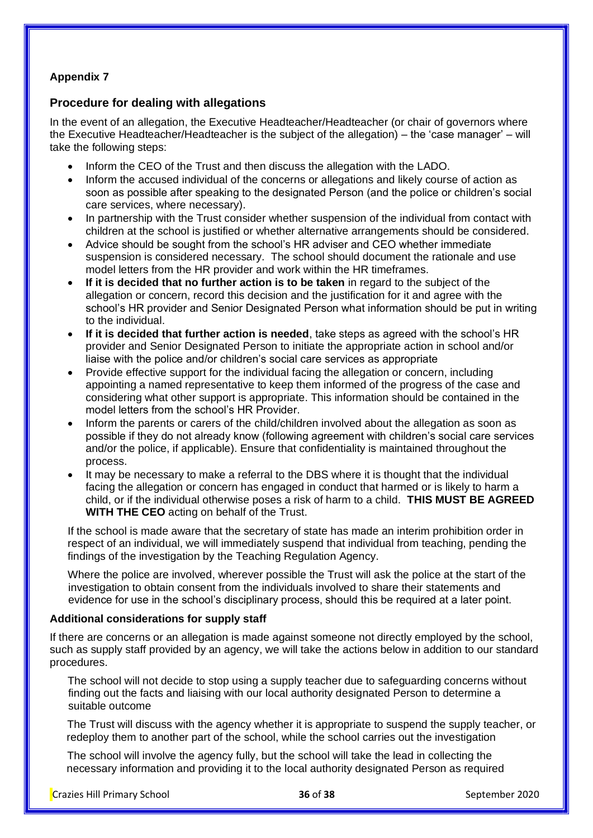# **Appendix 7**

# **Procedure for dealing with allegations**

In the event of an allegation, the Executive Headteacher/Headteacher (or chair of governors where the Executive Headteacher/Headteacher is the subject of the allegation) – the 'case manager' – will take the following steps:

- Inform the CEO of the Trust and then discuss the allegation with the LADO.
- Inform the accused individual of the concerns or allegations and likely course of action as soon as possible after speaking to the designated Person (and the police or children's social care services, where necessary).
- In partnership with the Trust consider whether suspension of the individual from contact with children at the school is justified or whether alternative arrangements should be considered.
- Advice should be sought from the school's HR adviser and CEO whether immediate suspension is considered necessary. The school should document the rationale and use model letters from the HR provider and work within the HR timeframes.
- **If it is decided that no further action is to be taken** in regard to the subject of the allegation or concern, record this decision and the justification for it and agree with the school's HR provider and Senior Designated Person what information should be put in writing to the individual.
- **If it is decided that further action is needed**, take steps as agreed with the school's HR provider and Senior Designated Person to initiate the appropriate action in school and/or liaise with the police and/or children's social care services as appropriate
- Provide effective support for the individual facing the allegation or concern, including appointing a named representative to keep them informed of the progress of the case and considering what other support is appropriate. This information should be contained in the model letters from the school's HR Provider.
- Inform the parents or carers of the child/children involved about the allegation as soon as possible if they do not already know (following agreement with children's social care services and/or the police, if applicable). Ensure that confidentiality is maintained throughout the process.
- It may be necessary to make a referral to the DBS where it is thought that the individual facing the allegation or concern has engaged in conduct that harmed or is likely to harm a child, or if the individual otherwise poses a risk of harm to a child. **THIS MUST BE AGREED WITH THE CEO** acting on behalf of the Trust.

If the school is made aware that the secretary of state has made an interim prohibition order in respect of an individual, we will immediately suspend that individual from teaching, pending the findings of the investigation by the Teaching Regulation Agency.

Where the police are involved, wherever possible the Trust will ask the police at the start of the investigation to obtain consent from the individuals involved to share their statements and evidence for use in the school's disciplinary process, should this be required at a later point.

#### **Additional considerations for supply staff**

If there are concerns or an allegation is made against someone not directly employed by the school, such as supply staff provided by an agency, we will take the actions below in addition to our standard procedures.

The school will not decide to stop using a supply teacher due to safeguarding concerns without finding out the facts and liaising with our local authority designated Person to determine a suitable outcome

 The Trust will discuss with the agency whether it is appropriate to suspend the supply teacher, or redeploy them to another part of the school, while the school carries out the investigation

 The school will involve the agency fully, but the school will take the lead in collecting the necessary information and providing it to the local authority designated Person as required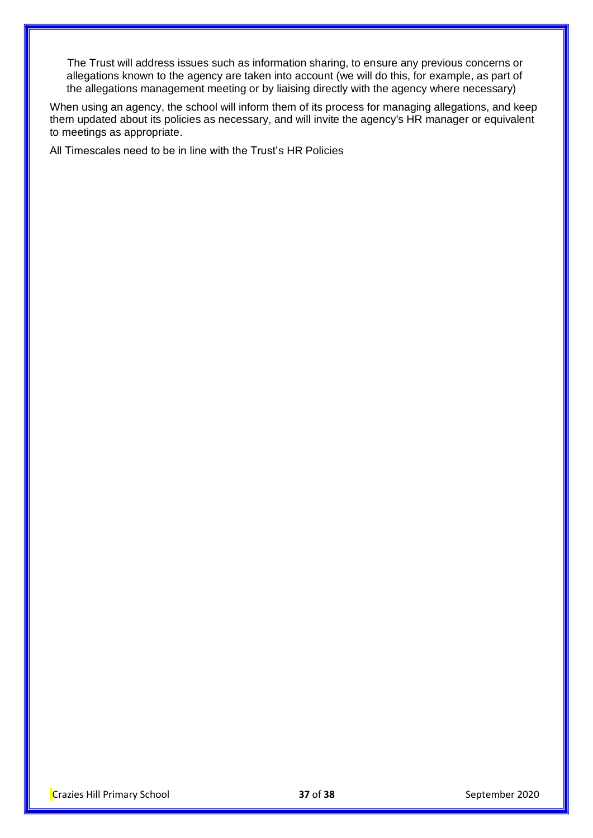The Trust will address issues such as information sharing, to ensure any previous concerns or allegations known to the agency are taken into account (we will do this, for example, as part of the allegations management meeting or by liaising directly with the agency where necessary)

When using an agency, the school will inform them of its process for managing allegations, and keep them updated about its policies as necessary, and will invite the agency's HR manager or equivalent to meetings as appropriate.

All Timescales need to be in line with the Trust's HR Policies